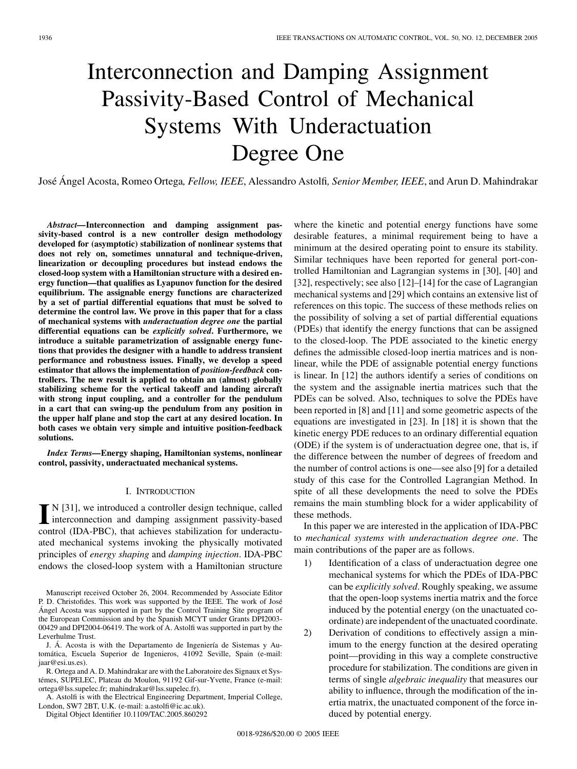# Interconnection and Damping Assignment Passivity-Based Control of Mechanical Systems With Underactuation Degree One

José Ángel Acosta, Romeo Ortega*, Fellow, IEEE*, Alessandro Astolfi*, Senior Member, IEEE*, and Arun D. Mahindrakar

*Abstract—***Interconnection and damping assignment passivity-based control is a new controller design methodology developed for (asymptotic) stabilization of nonlinear systems that does not rely on, sometimes unnatural and technique-driven, linearization or decoupling procedures but instead endows the closed-loop system with a Hamiltonian structure with a desired energy function—that qualifies as Lyapunov function for the desired equilibrium. The assignable energy functions are characterized by a set of partial differential equations that must be solved to determine the control law. We prove in this paper that for a class of mechanical systems with** *underactuation degree one* **the partial differential equations can be** *explicitly solved***. Furthermore, we introduce a suitable parametrization of assignable energy functions that provides the designer with a handle to address transient performance and robustness issues. Finally, we develop a speed estimator that allows the implementation of** *position-feedback* **controllers. The new result is applied to obtain an (almost) globally stabilizing scheme for the vertical takeoff and landing aircraft with strong input coupling, and a controller for the pendulum in a cart that can swing-up the pendulum from any position in the upper half plane and stop the cart at any desired location. In both cases we obtain very simple and intuitive position-feedback solutions.**

*Index Terms—***Energy shaping, Hamiltonian systems, nonlinear control, passivity, underactuated mechanical systems.**

## I. INTRODUCTION

I<sup>N</sup> [31], we introduced a controller design technique, called<br>interconnection and damping assignment passivity-based<br>control (IDA, PDC), that sekisives stabilization for understand interconnection and damping assignment passivity-based control (IDA-PBC), that achieves stabilization for underactuated mechanical systems invoking the physically motivated principles of *energy shaping* and *damping injection*. IDA-PBC endows the closed-loop system with a Hamiltonian structure

J. Á. Acosta is with the Departamento de Ingeniería de Sistemas y Automática, Escuela Superior de Ingenieros, 41092 Seville, Spain (e-mail: jaar@esi.us.es).

R. Ortega and A. D. Mahindrakar are with the Laboratoire des Signaux et Systémes, SUPELEC, Plateau du Moulon, 91192 Gif-sur-Yvette, France (e-mail: ortega@lss.supelec.fr; mahindrakar@lss.supelec.fr).

A. Astolfi is with the Electrical Engineering Department, Imperial College, London, SW7 2BT, U.K. (e-mail: a.astolfi@ic.ac.uk).

Digital Object Identifier 10.1109/TAC.2005.860292

where the kinetic and potential energy functions have some desirable features, a minimal requirement being to have a minimum at the desired operating point to ensure its stability. Similar techniques have been reported for general port-controlled Hamiltonian and Lagrangian systems in [30], [40] and [32], respectively; see also [12]–[14] for the case of Lagrangian mechanical systems and [29] which contains an extensive list of references on this topic. The success of these methods relies on the possibility of solving a set of partial differential equations (PDEs) that identify the energy functions that can be assigned to the closed-loop. The PDE associated to the kinetic energy defines the admissible closed-loop inertia matrices and is nonlinear, while the PDE of assignable potential energy functions is linear. In [12] the authors identify a series of conditions on the system and the assignable inertia matrices such that the PDEs can be solved. Also, techniques to solve the PDEs have been reported in [8] and [11] and some geometric aspects of the equations are investigated in [23]. In [18] it is shown that the kinetic energy PDE reduces to an ordinary differential equation (ODE) if the system is of underactuation degree one, that is, if the difference between the number of degrees of freedom and the number of control actions is one—see also [9] for a detailed study of this case for the Controlled Lagrangian Method. In spite of all these developments the need to solve the PDEs remains the main stumbling block for a wider applicability of these methods.

In this paper we are interested in the application of IDA-PBC to *mechanical systems with underactuation degree one*. The main contributions of the paper are as follows.

- 1) Identification of a class of underactuation degree one mechanical systems for which the PDEs of IDA-PBC can be *explicitly solved*. Roughly speaking, we assume that the open-loop systems inertia matrix and the force induced by the potential energy (on the unactuated coordinate) are independent of the unactuated coordinate.
- 2) Derivation of conditions to effectively assign a minimum to the energy function at the desired operating point—providing in this way a complete constructive procedure for stabilization. The conditions are given in terms of single *algebraic inequality* that measures our ability to influence, through the modification of the inertia matrix, the unactuated component of the force induced by potential energy.

Manuscript received October 26, 2004. Recommended by Associate Editor P. D. Christofides. This work was supported by the IEEE. The work of José Ángel Acosta was supported in part by the Control Training Site program of the European Commission and by the Spanish MCYT under Grants DPI2003- 00429 and DPI2004-06419. The work of A. Astolfi was supported in part by the Leverhulme Trust.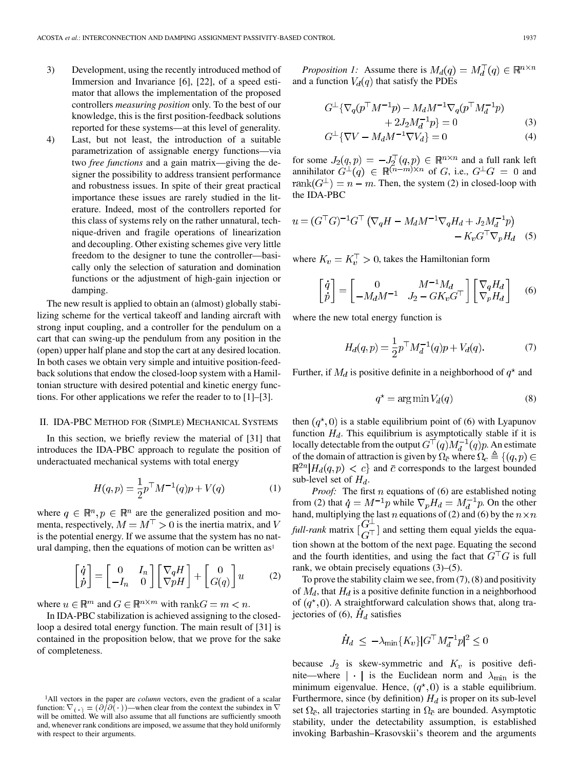- 3) Development, using the recently introduced method of Immersion and Invariance [6], [22], of a speed estimator that allows the implementation of the proposed controllers *measuring position* only. To the best of our knowledge, this is the first position-feedback solutions reported for these systems—at this level of generality.
- 4) Last, but not least, the introduction of a suitable parametrization of assignable energy functions—via two *free functions* and a gain matrix—giving the designer the possibility to address transient performance and robustness issues. In spite of their great practical importance these issues are rarely studied in the literature. Indeed, most of the controllers reported for this class of systems rely on the rather unnatural, technique-driven and fragile operations of linearization and decoupling. Other existing schemes give very little freedom to the designer to tune the controller—basically only the selection of saturation and domination functions or the adjustment of high-gain injection or damping.

The new result is applied to obtain an (almost) globally stabilizing scheme for the vertical takeoff and landing aircraft with strong input coupling, and a controller for the pendulum on a cart that can swing-up the pendulum from any position in the (open) upper half plane and stop the cart at any desired location. In both cases we obtain very simple and intuitive position-feedback solutions that endow the closed-loop system with a Hamiltonian structure with desired potential and kinetic energy functions. For other applications we refer the reader to to [1]–[3].

## II. IDA-PBC METHOD FOR (SIMPLE) MECHANICAL SYSTEMS

In this section, we briefly review the material of [31] that introduces the IDA-PBC approach to regulate the position of underactuated mechanical systems with total energy

$$
H(q, p) = \frac{1}{2} p^{\top} M^{-1}(q) p + V(q)
$$
 (1)

where  $q \in \mathbb{R}^n, p \in \mathbb{R}^n$  are the generalized position and momenta, respectively,  $M = M^{\top} > 0$  is the inertia matrix, and V is the potential energy. If we assume that the system has no natural damping, then the equations of motion can be written  $as<sup>1</sup>$ 

$$
\begin{bmatrix} \dot{q} \\ \dot{p} \end{bmatrix} = \begin{bmatrix} 0 & I_n \\ -I_n & 0 \end{bmatrix} \begin{bmatrix} \nabla_q H \\ \nabla p H \end{bmatrix} + \begin{bmatrix} 0 \\ G(q) \end{bmatrix} u \tag{2}
$$

where  $u \in \mathbb{R}^m$  and  $G \in \mathbb{R}^{n \times m}$  with  $\text{rank}G = m < n$ .

In IDA-PBC stabilization is achieved assigning to the closedloop a desired total energy function. The main result of [31] is contained in the proposition below, that we prove for the sake of completeness.

*Proposition 1:* Assume there is  $M_d(q) = M_d^{\top}(q) \in \mathbb{R}^{n \times n}$ and a function  $V_d(q)$  that satisfy the PDEs

$$
G^{\perp} \{ \nabla_q (p^{\top} M^{-1} p) - M_d M^{-1} \nabla_q (p^{\top} M_d^{-1} p) + 2J_2 M_d^{-1} p \} = 0
$$
\n
$$
G^{\perp} \{ \nabla V - M_d M^{-1} \nabla V_d \} = 0
$$
\n(3)\n(4)

for some  $J_2(q,p) = -J_2^+(q,p) \in \mathbb{R}^{n \times n}$  and a full rank left annihilator  $G^{\perp}(q) \in \mathbb{R}^{(n-m)\times n}$  of G, i.e.,  $G^{\perp}G = 0$  and rank $(G^{\perp}) = n - m$ . Then, the system (2) in closed-loop with the IDA-PBC

$$
u = (G^{\top}G)^{-1}G^{\top} (\nabla_q H - M_d M^{-1} \nabla_q H_d + J_2 M_d^{-1} p) - K_v G^{\top} \nabla_p H_d
$$
 (5)

where  $K_v = K_v^{\top} > 0$ , takes the Hamiltonian form

$$
\begin{bmatrix} \dot{q} \\ \dot{p} \end{bmatrix} = \begin{bmatrix} 0 & M^{-1} M_d \\ -M_d M^{-1} & J_2 - G K_v G^\top \end{bmatrix} \begin{bmatrix} \nabla_q H_d \\ \nabla_p H_d \end{bmatrix} \quad (6)
$$

where the new total energy function is

$$
H_d(q, p) = \frac{1}{2} p^\top M_d^{-1}(q) p + V_d(q). \tag{7}
$$

Further, if  $M_d$  is positive definite in a neighborhood of  $q^*$  and

$$
q^* = \arg\min V_d(q) \tag{8}
$$

then  $(q^*,0)$  is a stable equilibrium point of (6) with Lyapunov function  $H_d$ . This equilibrium is asymptotically stable if it is locally detectable from the output  $G^{\dagger}(q)M_d^{-1}(q)p$ . An estimate of the domain of attraction is given by  $\Omega_{\overline{c}}$  where  $\Omega_c \triangleq \{(q, p) \in$  $\mathbb{R}^{2n}$  |  $H_d(q,p) < c$ } and  $\bar{c}$  corresponds to the largest bounded sub-level set of  $H_d$ .

*Proof:* The first  $n$  equations of (6) are established noting from (2) that  $\dot{q} = M^{-1}p$  while  $\nabla_p H_d = M_d^{-1}p$ . On the other hand, multiplying the last  $n$  equations of (2) and (6) by the *full-rank* matrix  $\begin{bmatrix} 0 \\ 0 \end{bmatrix}$  and setting them equal yields the equation shown at the bottom of the next page. Equating the second and the fourth identities, and using the fact that  $G<sup>T</sup>G$  is full rank, we obtain precisely equations (3)–(5).

To prove the stability claim we see, from  $(7)$ ,  $(8)$  and positivity of  $M_d$ , that  $H_d$  is a positive definite function in a neighborhood of  $(q^*,0)$ . A straightforward calculation shows that, along trajectories of (6),  $\dot{H}_d$  satisfies

$$
\dot{H}_d \le -\lambda_{\min}\{K_v\} |G^\top M_d^{-1} p|^2 \le 0
$$

because  $J_2$  is skew-symmetric and  $K_v$  is positive definite—where  $|\cdot|$  is the Euclidean norm and  $\lambda_{\min}$  is the minimum eigenvalue. Hence,  $(q^*, 0)$  is a stable equilibrium. Furthermore, since (by definition)  $H_d$  is proper on its sub-level set  $\Omega_{\bar{c}}$ , all trajectories starting in  $\Omega_{\bar{c}}$  are bounded. Asymptotic stability, under the detectability assumption, is established invoking Barbashin–Krasovskii's theorem and the arguments

<sup>1</sup>All vectors in the paper are *column* vectors, even the gradient of a scalar function:  $\nabla(\cdot) = (\partial/\partial(\cdot))$ —when clear from the context the subindex in  $\nabla$ will be omitted. We will also assume that all functions are sufficiently smooth and, whenever rank conditions are imposed, we assume that they hold uniformly with respect to their arguments.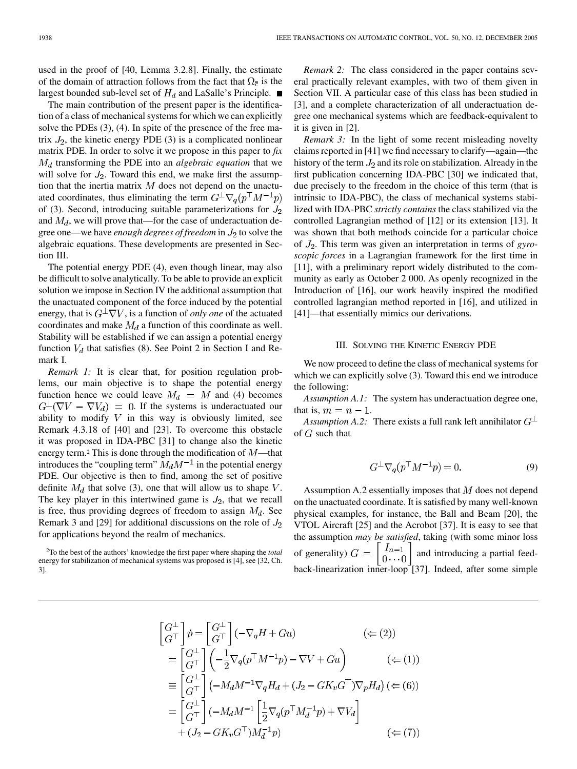used in the proof of [40, Lemma 3.2.8]. Finally, the estimate of the domain of attraction follows from the fact that  $\Omega_{\bar{c}}$  is the largest bounded sub-level set of  $H_d$  and LaSalle's Principle.

The main contribution of the present paper is the identification of a class of mechanical systems for which we can explicitly solve the PDEs (3), (4). In spite of the presence of the free matrix  $J_2$ , the kinetic energy PDE (3) is a complicated nonlinear matrix PDE. In order to solve it we propose in this paper to *fix*  $M_d$  transforming the PDE into an *algebraic equation* that we will solve for  $J_2$ . Toward this end, we make first the assumption that the inertia matrix  $M$  does not depend on the unactuated coordinates, thus eliminating the term  $G^{\perp} \nabla_q (p^{\top} M^{-1} p)$ of (3). Second, introducing suitable parameterizations for  $J_2$ and  $M_d$ , we will prove that—for the case of underactuation degree one—we have *enough degrees of freedom* in  $J_2$  to solve the algebraic equations. These developments are presented in Section III.

The potential energy PDE (4), even though linear, may also be difficult to solve analytically. To be able to provide an explicit solution we impose in Section IV the additional assumption that the unactuated component of the force induced by the potential energy, that is  $G^{\perp}\nabla V$ , is a function of *only one* of the actuated coordinates and make  $M_d$  a function of this coordinate as well. Stability will be established if we can assign a potential energy function  $V_d$  that satisfies (8). See Point 2 in Section I and Remark I.

*Remark 1:* It is clear that, for position regulation problems, our main objective is to shape the potential energy function hence we could leave  $M_d = M$  and (4) becomes  $G^{\perp}(\nabla V - \nabla V_d) = 0$ . If the systems is underactuated our ability to modify  $V$  in this way is obviously limited, see Remark 4.3.18 of [40] and [23]. To overcome this obstacle it was proposed in IDA-PBC [31] to change also the kinetic energy term.<sup>2</sup> This is done through the modification of  $M$ —that introduces the "coupling term"  $M_d M^{-1}$  in the potential energy PDE. Our objective is then to find, among the set of positive definite  $M_d$  that solve (3), one that will allow us to shape  $V$ . The key player in this intertwined game is  $J_2$ , that we recall is free, thus providing degrees of freedom to assign  $M_d$ . See Remark 3 and [29] for additional discussions on the role of  $J_2$ for applications beyond the realm of mechanics.

<sup>2</sup>To the best of the authors' knowledge the first paper where shaping the *total* energy for stabilization of mechanical systems was proposed is [4], see [32, Ch. 3].

*Remark 2:* The class considered in the paper contains several practically relevant examples, with two of them given in Section VII. A particular case of this class has been studied in [3], and a complete characterization of all underactuation degree one mechanical systems which are feedback-equivalent to it is given in [2].

*Remark 3:* In the light of some recent misleading novelty claims reported in [41] we find necessary to clarify—again—the history of the term  $J_2$  and its role on stabilization. Already in the first publication concerning IDA-PBC [30] we indicated that, due precisely to the freedom in the choice of this term (that is intrinsic to IDA-PBC), the class of mechanical systems stabilized with IDA-PBC *strictly contains* the class stabilized via the controlled Lagrangian method of [12] or its extension [13]. It was shown that both methods coincide for a particular choice of  $J_2$ . This term was given an interpretation in terms of *gyroscopic forces* in a Lagrangian framework for the first time in [11], with a preliminary report widely distributed to the community as early as October 2 000. As openly recognized in the Introduction of [16], our work heavily inspired the modified controlled lagrangian method reported in [16], and utilized in [41]—that essentially mimics our derivations.

## III. SOLVING THE KINETIC ENERGY PDE

We now proceed to define the class of mechanical systems for which we can explicitly solve  $(3)$ . Toward this end we introduce the following:

*Assumption A.1:* The system has underactuation degree one, that is,  $m = n - 1$ .

*Assumption A.2:* There exists a full rank left annihilator  $G^{\perp}$ of  $G$  such that

$$
G^{\perp}\nabla_q(p^{\top}M^{-1}p) = 0.
$$
 (9)

Assumption A.2 essentially imposes that  $M$  does not depend on the unactuated coordinate. It is satisfied by many well-known physical examples, for instance, the Ball and Beam [20], the VTOL Aircraft [25] and the Acrobot [37]. It is easy to see that the assumption *may be satisfied*, taking (with some minor loss of generality)  $G = \begin{bmatrix} I_{n-1} \\ 0 \cdots 0 \end{bmatrix}$  and introducing a partial feedback-linearization inner-loop [37]. Indeed, after some simple

$$
\begin{aligned}\n\begin{bmatrix}\nG^{\perp} \\
G^{\top}\n\end{bmatrix}\n\dot{p} &= \begin{bmatrix}\nG^{\perp} \\
G^{\top}\n\end{bmatrix}\n\begin{bmatrix}\n-\nabla_q H + Gu\n\end{bmatrix} \qquad (\Leftarrow (2)) \\
&= \begin{bmatrix}\nG^{\perp} \\
G^{\top}\n\end{bmatrix}\n\begin{bmatrix}\n-\frac{1}{2}\nabla_q (p^{\top} M^{-1}p) - \nabla V + Gu\n\end{bmatrix} \qquad (\Leftarrow (1)) \\
&\equiv \begin{bmatrix}\nG^{\perp} \\
G^{\top}\n\end{bmatrix}\n\begin{bmatrix}\n-M_d M^{-1} \nabla_q H_d + (J_2 - G K_v G^{\top}) \nabla_p H_d\n\end{bmatrix} \qquad (\Leftarrow (6)) \\
&= \begin{bmatrix}\nG^{\perp} \\
G^{\top}\n\end{bmatrix}\n\begin{bmatrix}\n-M_d M^{-1} \left[\frac{1}{2} \nabla_q (p^{\top} M_d^{-1}p) + \nabla V_d\n\end{bmatrix}\n\end{aligned} + (J_2 - G K_v G^{\top}) M_d^{-1} p \qquad (\Leftarrow (7))
$$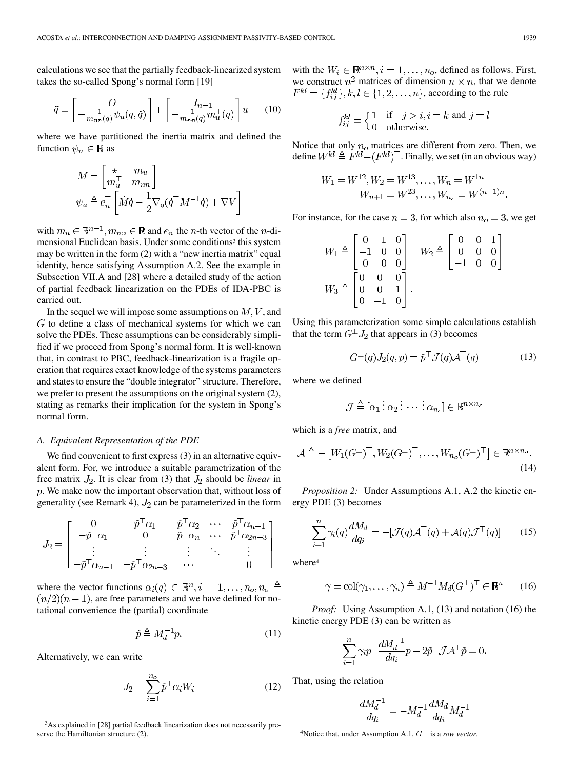calculations we see that the partially feedback-linearized system takes the so-called Spong's normal form [19]

$$
\ddot{q} = \left[ \begin{array}{cc} O \\ -\frac{1}{m_{nn}(q)} \psi_u(q, \dot{q}) \end{array} \right] + \left[ \begin{array}{cc} I_{n-1} \\ -\frac{1}{m_{nn}(q)} m_u^{\top}(q) \end{array} \right] u \qquad (10)
$$

where we have partitioned the inertia matrix and defined the function  $\psi_u \in \mathbb{R}$  as

$$
M = \begin{bmatrix} \star & m_u \\ m_u^\top & m_{nn} \end{bmatrix}
$$
  

$$
\psi_u \triangleq e_n^\top \left[ \dot{M} \dot{q} - \frac{1}{2} \nabla_q (\dot{q}^\top M^{-1} \dot{q}) + \nabla V \right]
$$

with  $m_u \in \mathbb{R}^{n-1}$ ,  $m_{nn} \in \mathbb{R}$  and  $e_n$  the *n*-th vector of the *n*-dimensional Euclidean basis. Under some conditions<sup>3</sup> this system may be written in the form (2) with a "new inertia matrix" equal identity, hence satisfying Assumption A.2. See the example in Subsection VII.A and [28] where a detailed study of the action of partial feedback linearization on the PDEs of IDA-PBC is carried out.

In the sequel we will impose some assumptions on  $M, V$ , and  $G$  to define a class of mechanical systems for which we can solve the PDEs. These assumptions can be considerably simplified if we proceed from Spong's normal form. It is well-known that, in contrast to PBC, feedback-linearization is a fragile operation that requires exact knowledge of the systems parameters and states to ensure the "double integrator" structure. Therefore, we prefer to present the assumptions on the original system (2), stating as remarks their implication for the system in Spong's normal form.

#### *A. Equivalent Representation of the PDE*

We find convenient to first express (3) in an alternative equivalent form. For, we introduce a suitable parametrization of the free matrix  $J_2$ . It is clear from (3) that  $J_2$  should be *linear* in  $p$ . We make now the important observation that, without loss of generality (see Remark 4),  $J_2$  can be parameterized in the form

$$
J_2 = \begin{bmatrix} 0 & \tilde{p}^\top \alpha_1 & \tilde{p}^\top \alpha_2 & \cdots & \tilde{p}^\top \alpha_{n-1} \\ -\tilde{p}^\top \alpha_1 & 0 & \tilde{p}^\top \alpha_n & \cdots & \tilde{p}^\top \alpha_{2n-3} \\ \vdots & \vdots & \vdots & \ddots & \vdots \\ -\tilde{p}^\top \alpha_{n-1} & -\tilde{p}^\top \alpha_{2n-3} & \cdots & 0 \end{bmatrix}
$$

where the vector functions  $\alpha_i(q) \in \mathbb{R}^n, i = 1, \ldots, n_o, n_o \triangleq$  $(n/2)(n-1)$ , are free parameters and we have defined for notational convenience the (partial) coordinate

$$
\tilde{p} \triangleq M_d^{-1} p. \tag{11}
$$

Alternatively, we can write

$$
J_2 = \sum_{i=1}^{n_o} \tilde{p}^\top \alpha_i W_i \tag{12}
$$

<sup>3</sup>As explained in [28] partial feedback linearization does not necessarily preserve the Hamiltonian structure (2).

with the  $W_i \in \mathbb{R}^{n \times n}, i = 1, \dots, n_o$ , defined as follows. First, we construct  $n^2$  matrices of dimension  $n \times n$ , that we denote  $F^{kl} = \{f_{ij}^{kl}\}, k, l \in \{1, 2, ..., n\}$ , according to the rule

$$
f_{ij}^{kl} = \begin{cases} 1 & \text{if } j > i, i = k \text{ and } j = l \\ 0 & \text{otherwise.} \end{cases}
$$

Notice that only  $n<sub>o</sub>$  matrices are different from zero. Then, we define  $W^{kl} \triangleq F^{kl} - (F^{kl})^{\top}$ . Finally, we set (in an obvious way)

$$
W_1 = W^{12}, W_2 = W^{13}, \dots, W_n = W^{1n}
$$
  

$$
W_{n+1} = W^{23}, \dots, W_{n_0} = W^{(n-1)n}
$$

For instance, for the case  $n = 3$ , for which also  $n<sub>o</sub> = 3$ , we get

$$
W_1 \triangleq \begin{bmatrix} 0 & 1 & 0 \\ -1 & 0 & 0 \\ 0 & 0 & 0 \end{bmatrix} \quad W_2 \triangleq \begin{bmatrix} 0 & 0 & 1 \\ 0 & 0 & 0 \\ -1 & 0 & 0 \end{bmatrix}
$$

$$
W_3 \triangleq \begin{bmatrix} 0 & 0 & 0 \\ 0 & 0 & 1 \\ 0 & -1 & 0 \end{bmatrix}.
$$

Using this parameterization some simple calculations establish that the term  $G^{\perp} J_2$  that appears in (3) becomes

$$
G^{\perp}(q)J_2(q,p) = \tilde{p}^{\top} \mathcal{J}(q) \mathcal{A}^{\top}(q)
$$
 (13)

where we defined

$$
\mathcal{J} \triangleq [\alpha_1 \vdots \alpha_2 \vdots \cdots \vdots \alpha_{n_o}] \in \mathbb{R}^{n \times n_o}
$$

which is a *free* matrix, and

$$
\mathcal{A} \triangleq -\left[W_1(G^\perp)^\top, W_2(G^\perp)^\top, \dots, W_{n_o}(G^\perp)^\top\right] \in \mathbb{R}^{n \times n_o}.
$$
\n(14)

*Proposition 2:* Under Assumptions A.1, A.2 the kinetic energy PDE (3) becomes

$$
\sum_{i=1}^{n} \gamma_i(q) \frac{dM_d}{dq_i} = -[\mathcal{J}(q)\mathcal{A}^\top(q) + \mathcal{A}(q)\mathcal{J}^\top(q)] \qquad (15)
$$

where<sup>4</sup>

$$
\gamma = \text{col}(\gamma_1, \dots, \gamma_n) \triangleq M^{-1} M_d (G^{\perp})^{\top} \in \mathbb{R}^n \qquad (16)
$$

*Proof:* Using Assumption A.1, (13) and notation (16) the kinetic energy PDE (3) can be written as

$$
\sum_{i=1}^{n} \gamma_i p^{\top} \frac{dM_d^{-1}}{dq_i} p - 2\tilde{p}^{\top} \mathcal{J} \mathcal{A}^{\top} \tilde{p} = 0.
$$

That, using the relation

$$
\frac{dM_d^{-1}}{da_i} = -M_d^{-1} \frac{dM_d}{da_i} M_d^{-1}
$$

<sup>4</sup>Notice that, under Assumption A.1,  $G^{\perp}$  is a *row vector*.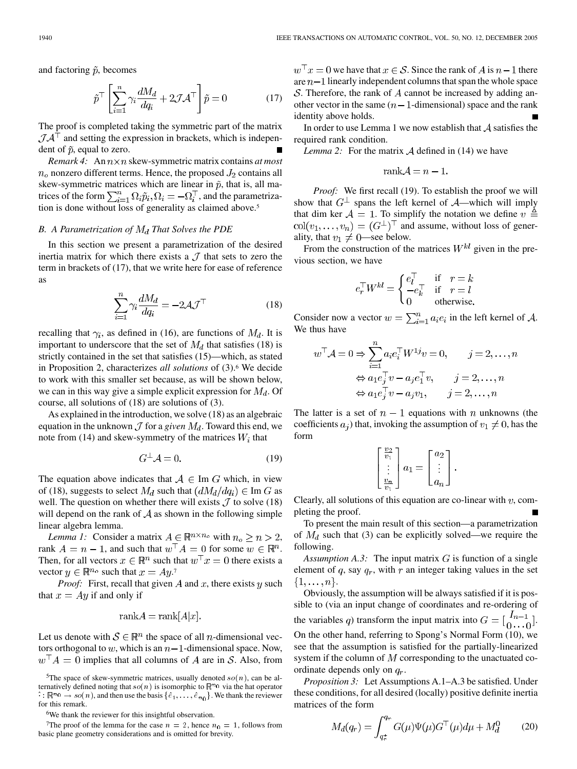and factoring  $\tilde{p}$ , becomes

$$
\tilde{p}^{\top} \left[ \sum_{i=1}^{n} \gamma_i \frac{dM_d}{dq_i} + 2 \mathcal{J} \mathcal{A}^{\top} \right] \tilde{p} = 0 \tag{17}
$$

The proof is completed taking the symmetric part of the matrix  $JA<sup>T</sup>$  and setting the expression in brackets, which is independent of  $\tilde{p}$ , equal to zero.

*Remark 4:* An  $n \times n$  skew-symmetric matrix contains *at most*  $n<sub>o</sub>$  nonzero different terms. Hence, the proposed  $J_2$  contains all skew-symmetric matrices which are linear in  $\tilde{p}$ , that is, all matrices of the form  $\sum_{i=1}^{n} \Omega_i \tilde{p}_i$ ,  $\Omega_i = -\Omega_i^{\top}$ , and the parametrization is done without loss of generality as claimed above.<sup>5</sup>

# *B. A Parametrization of That Solves the PDE*

In this section we present a parametrization of the desired inertia matrix for which there exists a  $\mathcal J$  that sets to zero the term in brackets of (17), that we write here for ease of reference as

$$
\sum_{i=1}^{n} \gamma_i \frac{dM_d}{dq_i} = -2\mathcal{A}\mathcal{J}^{\top}
$$
 (18)

recalling that  $\gamma_i$ , as defined in (16), are functions of  $M_d$ . It is important to underscore that the set of  $M_d$  that satisfies (18) is strictly contained in the set that satisfies (15)—which, as stated in Proposition 2, characterizes *all solutions* of (3).<sup>6</sup> We decide to work with this smaller set because, as will be shown below, we can in this way give a simple explicit expression for  $M_d$ . Of course, all solutions of (18) are solutions of (3).

As explained in the introduction, we solve (18) as an algebraic equation in the unknown  $\mathcal J$  for a *given*  $M_d$ . Toward this end, we note from (14) and skew-symmetry of the matrices  $W_i$  that

$$
G^{\perp} \mathcal{A} = 0. \tag{19}
$$

The equation above indicates that  $A \in \text{Im } G$  which, in view of (18), suggests to select  $M_d$  such that  $(dM_d/dq_i) \in \text{Im } G$  as well. The question on whether there will exists  $\mathcal J$  to solve (18) will depend on the rank of  $A$  as shown in the following simple linear algebra lemma.

*Lemma 1:* Consider a matrix  $A \in \mathbb{R}^{n \times n_o}$  with  $n_o \ge n > 2$ , rank  $A = n - 1$ , and such that  $w^{\top} A = 0$  for some  $w \in \mathbb{R}^n$ . Then, for all vectors  $x \in \mathbb{R}^n$  such that  $w^\top x = 0$  there exists a vector  $y \in \mathbb{R}^{n_o}$  such that  $x = Ay$ .

*Proof:* First, recall that given  $A$  and  $x$ , there exists  $y$  such that  $x = Ay$  if and only if

$$
\text{rank} A = \text{rank}[A|x].
$$

Let us denote with  $S \in \mathbb{R}^n$  the space of all *n*-dimensional vectors orthogonal to w, which is an  $n-1$ -dimensional space. Now,  $w^{\dagger} A = 0$  implies that all columns of A are in S. Also, from

<sup>7</sup>The proof of the lemma for the case  $n = 2$ , hence  $n_0 = 1$ , follows from basic plane geometry considerations and is omitted for brevity.

 $w^{\top} x = 0$  we have that  $x \in \mathcal{S}$ . Since the rank of A is  $n-1$  there are  $n-1$  linearly independent columns that span the whole space S. Therefore, the rank of  $A$  cannot be increased by adding another vector in the same  $(n - 1$ -dimensional) space and the rank identity above holds.

In order to use Lemma 1 we now establish that  $A$  satisfies the required rank condition.

*Lemma 2:* For the matrix  $\mathcal A$  defined in (14) we have

$$
rank\mathcal{A} = n - 1.
$$

*Proof:* We first recall (19). To establish the proof we will show that  $G^{\perp}$  spans the left kernel of  $\mathcal{A}$ —which will imply that dim ker  $\mathcal{A} = 1$ . To simplify the notation we define  $v \triangleq$  $col(v_1, \ldots, v_n) = (G^{\perp})^{\top}$  and assume, without loss of generality, that  $v_1 \neq 0$ —see below.

From the construction of the matrices  $W^{kl}$  given in the previous section, we have

$$
e_r^{\top} W^{kl} = \begin{cases} e_l^{\top} & \text{if } r = k \\ -e_k^{\top} & \text{if } r = l \\ 0 & \text{otherwise.} \end{cases}
$$

Consider now a vector  $w = \sum_{i=1}^{n} a_i e_i$  in the left kernel of A. We thus have

$$
w^{\top} A = 0 \Rightarrow \sum_{i=1}^{n} a_i e_i^{\top} W^{1j} v = 0, \qquad j = 2, ..., n
$$

$$
\Leftrightarrow a_1 e_j^{\top} v - a_j e_1^{\top} v, \qquad j = 2, ..., n
$$

$$
\Leftrightarrow a_1 e_j^{\top} v - a_j v_1, \qquad j = 2, ..., n
$$

The latter is a set of  $n-1$  equations with n unknowns (the coefficients  $a_i$ ) that, invoking the assumption of  $v_1 \neq 0$ , has the form

$$
\left[\begin{array}{c} \frac{v_2}{v_1} \\ \vdots \\ \frac{v_n}{v_1} \end{array}\right] a_1 = \left[\begin{array}{c} a_2 \\ \vdots \\ a_n \end{array}\right].
$$

Clearly, all solutions of this equation are co-linear with  $v$ , completing the proof.

To present the main result of this section—a parametrization of  $M_d$  such that (3) can be explicitly solved—we require the following.

*Assumption A.3:* The input matrix  $G$  is function of a single element of  $q$ , say  $q_r$ , with  $r$  an integer taking values in the set  $\{1,\ldots,n\}.$ 

Obviously, the assumption will be always satisfied if it is possible to (via an input change of coordinates and re-ordering of the variables q) transform the input matrix into  $G = \begin{bmatrix} I_{n-1} \\ 0 \end{bmatrix}$ . On the other hand, referring to Spong's Normal Form (10), we see that the assumption is satisfied for the partially-linearized system if the column of  $M$  corresponding to the unactuated coordinate depends only on  $q_r$ .

*Proposition 3:* Let Assumptions A.1–A.3 be satisfied. Under these conditions, for all desired (locally) positive definite inertia matrices of the form

$$
M_d(q_r) = \int_{q_r^*}^{q_r} G(\mu) \Psi(\mu) G^\top(\mu) d\mu + M_d^0 \tag{20}
$$

<sup>&</sup>lt;sup>5</sup>The space of skew-symmetric matrices, usually denoted  $so(n)$ , can be alternatively defined noting that  $so(n)$  is isomorphic to  $\mathbb{R}^{n}$  via the hat operator  $\hat{C} : \mathbb{R}^{n_0} \to so(n)$ , and then use the basis  $\{\hat{e}_1, \ldots, \hat{e}_{n_0}\}$ . We thank the reviewer for this remark.

<sup>6</sup>We thank the reviewer for this insightful observation.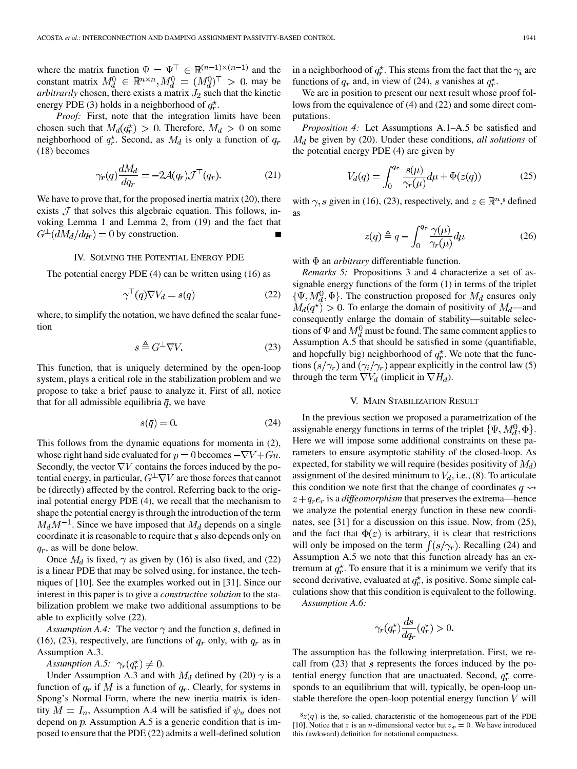where the matrix function  $\Psi = \Psi^{\top} \in \mathbb{R}^{(n-1)\times (n-1)}$  and the constant matrix  $M_d^0 \in \mathbb{R}^{n \times n}$ ,  $M_d^0 = (M_d^0)^\top > 0$ , may be *arbitrarily* chosen, there exists a matrix  $J_2$  such that the kinetic energy PDE (3) holds in a neighborhood of  $q_r^*$ .

*Proof:* First, note that the integration limits have been chosen such that  $M_d(q_r^{\star}) > 0$ . Therefore,  $M_d > 0$  on some neighborhood of  $q_r^*$ . Second, as  $M_d$  is only a function of  $q_r$ (18) becomes

$$
\gamma_r(q)\frac{dM_d}{dq_r} = -2\mathcal{A}(q_r)\mathcal{J}^\top(q_r). \tag{21}
$$

We have to prove that, for the proposed inertia matrix (20), there exists  $\mathcal J$  that solves this algebraic equation. This follows, invoking Lemma 1 and Lemma 2, from (19) and the fact that  $G^{\perp}(dM_d/dq_r)=0$  by construction.

## IV. SOLVING THE POTENTIAL ENERGY PDE

The potential energy PDE (4) can be written using (16) as

$$
\gamma^{\top}(q)\nabla V_d = s(q) \tag{22}
$$

where, to simplify the notation, we have defined the scalar function

$$
s \stackrel{\Delta}{=} G^{\perp} \nabla V. \tag{23}
$$

This function, that is uniquely determined by the open-loop system, plays a critical role in the stabilization problem and we propose to take a brief pause to analyze it. First of all, notice that for all admissible equilibria  $\bar{q}$ , we have

$$
s(\overline{q}) = 0.\t(24)
$$

This follows from the dynamic equations for momenta in (2), whose right hand side evaluated for  $p = 0$  becomes  $-\nabla V + Gu$ . Secondly, the vector  $\nabla V$  contains the forces induced by the potential energy, in particular,  $G^{\perp}\nabla V$  are those forces that cannot be (directly) affected by the control. Referring back to the original potential energy PDE (4), we recall that the mechanism to shape the potential energy is through the introduction of the term  $M_d M^{-1}$ . Since we have imposed that  $M_d$  depends on a single coordinate it is reasonable to require that  $s$  also depends only on  $q_r$ , as will be done below.

Once  $M_d$  is fixed,  $\gamma$  as given by (16) is also fixed, and (22) is a linear PDE that may be solved using, for instance, the techniques of [10]. See the examples worked out in [31]. Since our interest in this paper is to give a *constructive solution* to the stabilization problem we make two additional assumptions to be able to explicitly solve (22).

*Assumption A.4:* The vector  $\gamma$  and the function s, defined in (16), (23), respectively, are functions of  $q_r$  only, with  $q_r$  as in Assumption A.3.

*Assumption A.5:*  $\gamma_r(q_r^*) \neq 0$ .

Under Assumption A.3 and with  $M_d$  defined by (20)  $\gamma$  is a function of  $q_r$  if M is a function of  $q_r$ . Clearly, for systems in Spong's Normal Form, where the new inertia matrix is identity  $M = I_n$ , Assumption A.4 will be satisfied if  $\psi_u$  does not depend on  $p$ . Assumption A.5 is a generic condition that is imposed to ensure that the PDE (22) admits a well-defined solution in a neighborhood of  $q_r^*$ . This stems from the fact that the  $\gamma_i$  are functions of  $q_r$  and, in view of (24), s vanishes at  $q_r^*$ .

We are in position to present our next result whose proof follows from the equivalence of (4) and (22) and some direct computations.

*Proposition 4:* Let Assumptions A.1–A.5 be satisfied and be given by (20). Under these conditions, *all solutions* of the potential energy PDE (4) are given by

$$
V_d(q) = \int_0^{q_r} \frac{s(\mu)}{\gamma_r(\mu)} d\mu + \Phi(z(q)) \tag{25}
$$

with  $\gamma$ , s given in (16), (23), respectively, and  $z \in \mathbb{R}^n$ ,<sup>8</sup> defined as

$$
z(q) \triangleq q - \int_0^{q_r} \frac{\gamma(\mu)}{\gamma_r(\mu)} d\mu \tag{26}
$$

with  $\Phi$  an *arbitrary* differentiable function.

*Remarks 5:* Propositions 3 and 4 characterize a set of assignable energy functions of the form (1) in terms of the triplet  $\{\Psi, M_d^0, \Phi\}$ . The construction proposed for  $M_d$  ensures only  $M_d(q^*) > 0$ . To enlarge the domain of positivity of  $M_d$ —and consequently enlarge the domain of stability—suitable selections of  $\Psi$  and  $M_d^0$  must be found. The same comment applies to Assumption A.5 that should be satisfied in some (quantifiable, and hopefully big) neighborhood of  $q_r^*$ . We note that the functions  $(s/\gamma_r)$  and  $(\gamma_i/\gamma_r)$  appear explicitly in the control law (5) through the term  $\nabla V_d$  (implicit in  $\nabla H_d$ ).

## V. MAIN STABILIZATION RESULT

In the previous section we proposed a parametrization of the assignable energy functions in terms of the triplet  $\{\Psi, M_d^0, \Phi\}.$ Here we will impose some additional constraints on these parameters to ensure asymptotic stability of the closed-loop. As expected, for stability we will require (besides positivity of  $M_d$ ) assignment of the desired minimum to  $V_d$ , i.e., (8). To articulate this condition we note first that the change of coordinates  $q \rightarrow$  $z + q_r e_r$  is a *diffeomorphism* that preserves the extrema—hence we analyze the potential energy function in these new coordinates, see [31] for a discussion on this issue. Now, from (25), and the fact that  $\Phi(z)$  is arbitrary, it is clear that restrictions will only be imposed on the term  $\int (s/\gamma_r)$ . Recalling (24) and Assumption A.5 we note that this function already has an extremum at  $q_r^*$ . To ensure that it is a minimum we verify that its second derivative, evaluated at  $q_r^*$ , is positive. Some simple calculations show that this condition is equivalent to the following.

*Assumption A.6:*

$$
\gamma_r(q_r^{\star})\frac{ds}{dq_r}(q_r^{\star}) > 0.
$$

The assumption has the following interpretation. First, we recall from  $(23)$  that *s* represents the forces induced by the potential energy function that are unactuated. Second,  $q_r^*$  corresponds to an equilibrium that will, typically, be open-loop unstable therefore the open-loop potential energy function  $V$  will

 $8z(q)$  is the, so-called, characteristic of the homogeneous part of the PDE [10]. Notice that z is an *n*-dimensional vector but  $z_r = 0$ . We have introduced this (awkward) definition for notational compactness.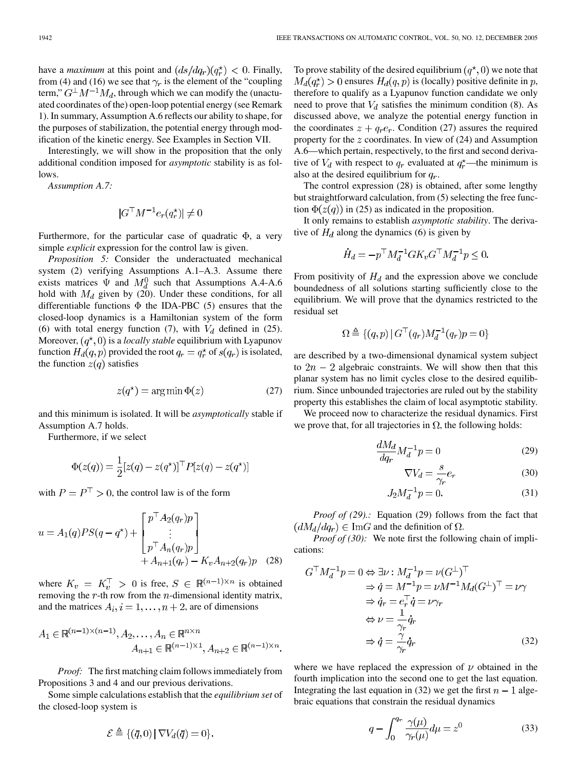have a *maximum* at this point and  $(ds/dq_r)(q_r^{\star}) < 0$ . Finally, from (4) and (16) we see that  $\gamma_r$  is the element of the "coupling" term,"  $G^{\perp}M^{-1}M_d$ , through which we can modify the (unactuated coordinates of the) open-loop potential energy (see Remark 1). In summary, Assumption A.6 reflects our ability to shape, for the purposes of stabilization, the potential energy through modification of the kinetic energy. See Examples in Section VII.

Interestingly, we will show in the proposition that the only additional condition imposed for *asymptotic* stability is as follows.

*Assumption A.7:*

$$
|G^\top M^{-1} e_r(q_r^{\star})| \neq 0
$$

Furthermore, for the particular case of quadratic  $\Phi$ , a very simple *explicit* expression for the control law is given.

*Proposition 5:* Consider the underactuated mechanical system (2) verifying Assumptions A.1–A.3. Assume there exists matrices  $\Psi$  and  $M_d^0$  such that Assumptions A.4-A.6 hold with  $M_d$  given by (20). Under these conditions, for all differentiable functions  $\Phi$  the IDA-PBC (5) ensures that the closed-loop dynamics is a Hamiltonian system of the form (6) with total energy function (7), with  $V_d$  defined in (25). Moreover,  $(q^*, 0)$  is a *locally stable* equilibrium with Lyapunov function  $H_d(q, p)$  provided the root  $q_r = q_r^*$  of  $s(q_r)$  is isolated, the function  $z(q)$  satisfies

$$
z(q^*) = \arg\min \Phi(z) \tag{27}
$$

and this minimum is isolated. It will be *asymptotically* stable if Assumption A.7 holds.

Furthermore, if we select

$$
\Phi(z(q)) = \frac{1}{2} [z(q) - z(q^*)]^\top P [z(q) - z(q^*)]
$$

with  $P = P^{\top} > 0$ , the control law is of the form

$$
u = A_1(q)PS(q - q^*) + \begin{bmatrix} p^{\top} A_2(q_r) p \\ \vdots \\ p^{\top} A_n(q_r) p \\ + A_{n+1}(q_r) - K_v A_{n+2}(q_r) p \end{bmatrix}
$$
(28)

where  $K_v = K_v^{\top} > 0$  is free,  $S \in \mathbb{R}^{(n-1)\times n}$  is obtained removing the  $r$ -th row from the  $n$ -dimensional identity matrix, and the matrices  $A_i$ ,  $i = 1, ..., n+2$ , are of dimensions

$$
A_1 \in \mathbb{R}^{(n-1)\times (n-1)}, A_2, \dots, A_n \in \mathbb{R}^{n \times n}
$$
  

$$
A_{n+1} \in \mathbb{R}^{(n-1)\times 1}, A_{n+2} \in \mathbb{R}^{(n-1)\times n}.
$$

*Proof:* The first matching claim follows immediately from Propositions 3 and 4 and our previous derivations.

Some simple calculations establish that the *equilibrium set* of the closed-loop system is

$$
\mathcal{E} \triangleq \{(\bar{q},0) \,|\, \nabla V_d(\bar{q})=0\}.
$$

To prove stability of the desired equilibrium  $(q^*,0)$  we note that  $M_d(q_r^{\star}) > 0$  ensures  $H_d(q, p)$  is (locally) positive definite in p, therefore to qualify as a Lyapunov function candidate we only need to prove that  $V_d$  satisfies the minimum condition (8). As discussed above, we analyze the potential energy function in the coordinates  $z + q_r e_r$ . Condition (27) assures the required property for the  $z$  coordinates. In view of  $(24)$  and Assumption A.6—which pertain, respectively, to the first and second derivative of  $V_d$  with respect to  $q_r$  evaluated at  $q_r^*$ —the minimum is also at the desired equilibrium for  $q_r$ .

The control expression (28) is obtained, after some lengthy but straightforward calculation, from (5) selecting the free function  $\Phi(z(q))$  in (25) as indicated in the proposition.

It only remains to establish *asymptotic stability*. The derivative of  $H_d$  along the dynamics (6) is given by

$$
\dot{H}_d = -p^\top M_d^{-1} G K_v G^\top M_d^{-1} p \le 0
$$

From positivity of  $H_d$  and the expression above we conclude boundedness of all solutions starting sufficiently close to the equilibrium. We will prove that the dynamics restricted to the residual set

$$
\Omega \triangleq \{(q,p) | G^{\top}(q_r)M_d^{-1}(q_r)p = 0\}
$$

are described by a two-dimensional dynamical system subject to  $2n - 2$  algebraic constraints. We will show then that this planar system has no limit cycles close to the desired equilibrium. Since unbounded trajectories are ruled out by the stability property this establishes the claim of local asymptotic stability.

We proceed now to characterize the residual dynamics. First we prove that, for all trajectories in  $\Omega$ , the following holds:

$$
\frac{dM_d}{dq_r}M_d^{-1}p = 0\tag{29}
$$

$$
\nabla V_d = \frac{s}{\gamma_r} e_r \tag{30}
$$

$$
J_2 M_d^{-1} p = 0.
$$
 (31)

*Proof of (29).:* Equation (29) follows from the fact that  $(dM_d/dq_r) \in \text{Im}G$  and the definition of  $\Omega$ .

*Proof of (30):* We note first the following chain of implications:

$$
G^{\top} M_d^{-1} p = 0 \Leftrightarrow \exists \nu : M_d^{-1} p = \nu (G^{\perp})^{\top}
$$
  
\n
$$
\Rightarrow \dot{q} = M^{-1} p = \nu M^{-1} M_d (G^{\perp})^{\top} = \nu \gamma
$$
  
\n
$$
\Rightarrow \dot{q}_r = e_r^{\top} \dot{q} = \nu \gamma_r
$$
  
\n
$$
\Leftrightarrow \nu = \frac{1}{\gamma_r} \dot{q}_r
$$
  
\n
$$
\Rightarrow \dot{q} = \frac{\gamma}{\gamma_r} \dot{q}_r
$$
 (32)

where we have replaced the expression of  $\nu$  obtained in the fourth implication into the second one to get the last equation. Integrating the last equation in (32) we get the first  $n - 1$  algebraic equations that constrain the residual dynamics

$$
q - \int_0^{q_r} \frac{\gamma(\mu)}{\gamma_r(\mu)} d\mu = z^0 \tag{33}
$$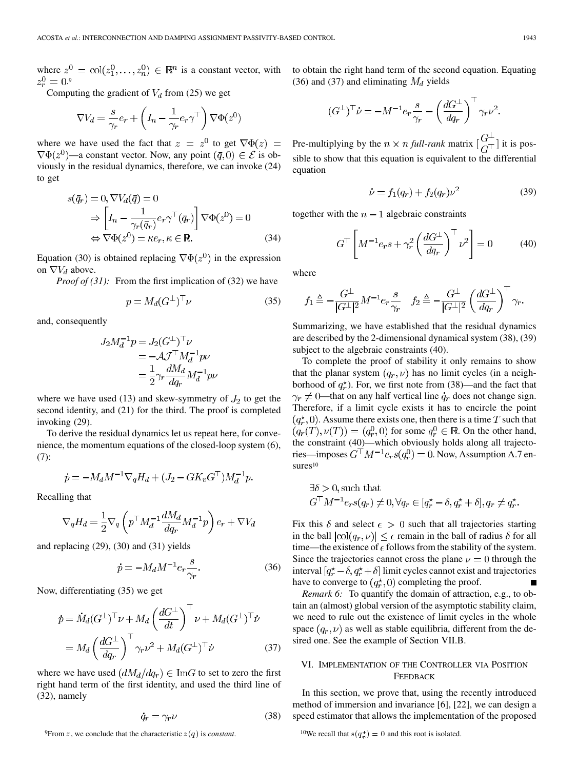where  $z^0 = col(z_1^0, \ldots, z_n^0) \in \mathbb{R}^n$  is a constant vector, with . 9

Computing the gradient of  $V_d$  from (25) we get

$$
\nabla V_d = \frac{s}{\gamma_r} e_r + \left( I_n - \frac{1}{\gamma_r} e_r \gamma^\top \right) \nabla \Phi(z^0)
$$

where we have used the fact that  $z = z^0$  to get  $\nabla \Phi(z) =$  $\nabla \Phi(z^0)$ —a constant vector. Now, any point  $(\bar{q}, 0) \in \mathcal{E}$  is obviously in the residual dynamics, therefore, we can invoke (24) to get

$$
s(\bar{q}_r) = 0, \nabla V_d(\bar{q}) = 0
$$
  
\n
$$
\Rightarrow \left[ I_n - \frac{1}{\gamma_r(\bar{q}_r)} e_r \gamma^\top(\bar{q}_r) \right] \nabla \Phi(z^0) = 0
$$
  
\n
$$
\Leftrightarrow \nabla \Phi(z^0) = \kappa e_r, \kappa \in \mathbb{R}.
$$
 (34)

Equation (30) is obtained replacing  $\nabla \Phi(z^0)$  in the expression on  $\nabla V_d$  above.

*Proof of (31):* From the first implication of (32) we have

$$
p = M_d(G^{\perp})^{\top} \nu \tag{35}
$$

and, consequently

$$
J_2 M_d^{-1} p = J_2 (G^{\perp})^{\top} \nu
$$
  
=  $-\mathcal{A} \mathcal{J}^{\top} M_d^{-1} p \nu$   
=  $\frac{1}{2} \gamma_r \frac{dM_d}{dq_r} M_d^{-1} p \nu$ 

where we have used (13) and skew-symmetry of  $J_2$  to get the second identity, and (21) for the third. The proof is completed invoking (29).

To derive the residual dynamics let us repeat here, for convenience, the momentum equations of the closed-loop system (6), (7):

$$
\dot{p} = -M_d M^{-1} \nabla_q H_d + (J_2 - G K_v G^\top) M_d^{-1} p.
$$

Recalling that

$$
\nabla_q H_d = \frac{1}{2} \nabla_q \left( p^\top M_d^{-1} \frac{dM_d}{dq_r} M_d^{-1} p \right) e_r + \nabla V_d
$$

and replacing (29), (30) and (31) yields

$$
\dot{p} = -M_d M^{-1} e_r \frac{s}{\gamma_r}.\tag{36}
$$

Now, differentiating (35) we get

$$
\dot{p} = \dot{M}_d (G^{\perp})^{\top} \nu + M_d \left(\frac{dG^{\perp}}{dt}\right)^{\top} \nu + M_d (G^{\perp})^{\top} \dot{\nu}
$$

$$
= M_d \left(\frac{dG^{\perp}}{dq_r}\right)^{\top} \gamma_r \nu^2 + M_d (G^{\perp})^{\top} \dot{\nu}
$$
(37)

where we have used  $(dM_d/dq_r) \in \text{Im}G$  to set to zero the first right hand term of the first identity, and used the third line of (32), namely

$$
\dot{q}_r = \gamma_r \nu \tag{38}
$$

to obtain the right hand term of the second equation. Equating (36) and (37) and eliminating  $M_d$  yields

$$
(G^{\perp})^{\top} \dot{\nu} = -M^{-1} e_r \frac{s}{\gamma_r} - \left(\frac{dG^{\perp}}{dq_r}\right)^{\top} \gamma_r \nu^2.
$$

Pre-multiplying by the  $n \times n$  full-rank matrix  $\begin{bmatrix} G^{\perp} \\ G^{\perp} \end{bmatrix}$  it is possible to show that this equation is equivalent to the differential equation

$$
\dot{\nu} = f_1(q_r) + f_2(q_r)\nu^2 \tag{39}
$$

together with the  $n-1$  algebraic constraints

$$
G^{\top} \left[ M^{-1} e_r s + \gamma_r^2 \left( \frac{dG^{\perp}}{dq_r} \right)^{\top} \nu^2 \right] = 0 \tag{40}
$$

where

$$
f_1 \triangleq -\frac{G^\perp}{|G^\perp|^2} M^{-1} e_r \frac{s}{\gamma_r} \quad f_2 \triangleq -\frac{G^\perp}{|G^\perp|^2} \left(\frac{dG^\perp}{dq_r}\right)^\perp \gamma_r.
$$

Summarizing, we have established that the residual dynamics are described by the 2-dimensional dynamical system (38), (39) subject to the algebraic constraints (40).

To complete the proof of stability it only remains to show that the planar system  $(q_r, \nu)$  has no limit cycles (in a neighborhood of  $q_r^*$ ). For, we first note from (38)—and the fact that  $\gamma_r \neq 0$ —that on any half vertical line  $q_r$  does not change sign. Therefore, if a limit cycle exists it has to encircle the point  $(q_r^{\star}, 0)$ . Assume there exists one, then there is a time T such that  $(q_r(T), \nu(T)) = (q_r^0, 0)$  for some  $q_r^0 \in \mathbb{R}$ . On the other hand, the constraint (40)—which obviously holds along all trajectories—imposes  $G^{\top}M^{-1}e_r s(q_r^0) = 0$ . Now, Assumption A.7 ensures<sup>10</sup>

$$
\exists \delta > 0, \text{such that}
$$
  

$$
G^{\top} M^{-1} e_r s(q_r) \neq 0, \forall q_r \in [q_r^{\star} - \delta, q_r^{\star} + \delta], q_r \neq q_r^{\star}.
$$

Fix this  $\delta$  and select  $\epsilon > 0$  such that all trajectories starting in the ball  $|col(q_r, v)| \leq \epsilon$  remain in the ball of radius  $\delta$  for all time—the existence of  $\epsilon$  follows from the stability of the system. Since the trajectories cannot cross the plane  $\nu = 0$  through the interval  $[q_r^* - \delta, q_r^* + \delta]$  limit cycles cannot exist and trajectories have to converge to  $(q_r^*,0)$  completing the proof.  $\blacksquare$ 

*Remark 6:* To quantify the domain of attraction, e.g., to obtain an (almost) global version of the asymptotic stability claim, we need to rule out the existence of limit cycles in the whole space  $(q_r, \nu)$  as well as stable equilibria, different from the desired one. See the example of Section VII.B.

# VI. IMPLEMENTATION OF THE CONTROLLER VIA POSITION FEEDBACK

In this section, we prove that, using the recently introduced method of immersion and invariance [6], [22], we can design a speed estimator that allows the implementation of the proposed

<sup>10</sup>We recall that  $s(q_r^*)=0$  and this root is isolated.

<sup>&</sup>lt;sup>9</sup>From *z*, we conclude that the characteristic  $z(q)$  is *constant*.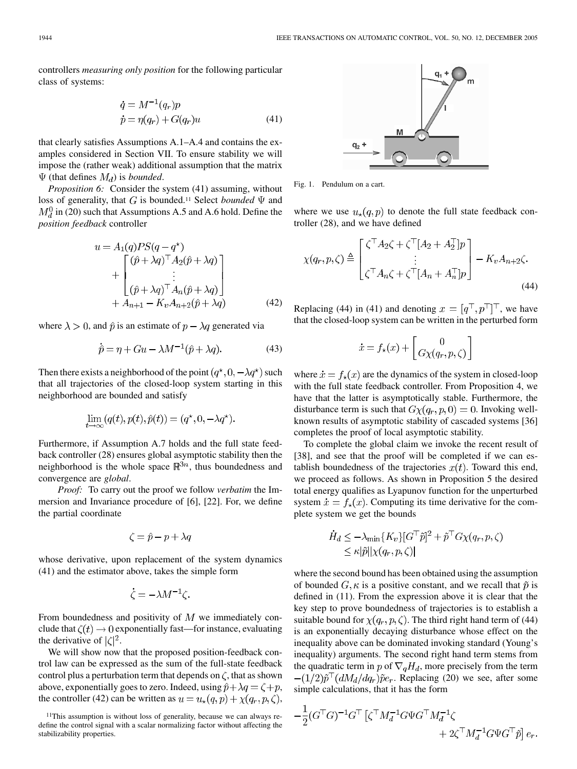controllers *measuring only position* for the following particular class of systems:

$$
\dot{q} = M^{-1}(q_r)p
$$
  
\n
$$
\dot{p} = \eta(q_r) + G(q_r)u
$$
\n(41)

that clearly satisfies Assumptions A.1–A.4 and contains the examples considered in Section VII. To ensure stability we will impose the (rather weak) additional assumption that the matrix  $\Psi$  (that defines  $M_d$ ) is *bounded*.

*Proposition 6:* Consider the system (41) assuming, without loss of generality, that  $G$  is bounded.<sup>11</sup> Select *bounded*  $\Psi$  and  $M_d^0$  in (20) such that Assumptions A.5 and A.6 hold. Define the *position feedback* controller

$$
u = A_1(q)PS(q - q^*)
$$
  
+ 
$$
\begin{bmatrix} (\hat{p} + \lambda q)^{\top} A_2(\hat{p} + \lambda q) \\ \vdots \\ (\hat{p} + \lambda q)^{\top} A_n(\hat{p} + \lambda q) \end{bmatrix}
$$
  
+ 
$$
A_{n+1} - K_v A_{n+2}(\hat{p} + \lambda q)
$$
 (42)

where  $\lambda > 0$ , and  $\hat{p}$  is an estimate of  $p - \lambda q$  generated via

$$
\dot{\hat{p}} = \eta + Gu - \lambda M^{-1}(\hat{p} + \lambda q). \tag{43}
$$

Then there exists a neighborhood of the point  $(q^*, 0, -\lambda q^*)$  such that all trajectories of the closed-loop system starting in this neighborhood are bounded and satisfy

$$
\lim_{t \to \infty} (q(t), p(t), \hat{p}(t)) = (q^*, 0, -\lambda q^*).
$$

Furthermore, if Assumption A.7 holds and the full state feedback controller (28) ensures global asymptotic stability then the neighborhood is the whole space  $\mathbb{R}^{3n}$ , thus boundedness and convergence are *global*.

*Proof:* To carry out the proof we follow *verbatim* the Immersion and Invariance procedure of [6], [22]. For, we define the partial coordinate

$$
\zeta = \hat{p} - p + \lambda q
$$

whose derivative, upon replacement of the system dynamics (41) and the estimator above, takes the simple form

$$
\dot{\zeta}=-\lambda M^{-1}\zeta.
$$

From boundedness and positivity of  $M$  we immediately conclude that  $\zeta(t) \to 0$  exponentially fast—for instance, evaluating the derivative of  $|\zeta|^2$ .

We will show now that the proposed position-feedback control law can be expressed as the sum of the full-state feedback control plus a perturbation term that depends on  $\zeta$ , that as shown above, exponentially goes to zero. Indeed, using  $\hat{p} + \lambda q = \zeta + p$ , the controller (42) can be written as  $u = u_{\star}(q, p) + \chi(q_r, p, \zeta)$ ,



Fig. 1. Pendulum on a cart.

where we use  $u_{\star}(q, p)$  to denote the full state feedback controller (28), and we have defined

$$
\chi(q_r, p, \zeta) \triangleq \begin{bmatrix} \zeta^\top A_2 \zeta + \zeta^\top [A_2 + A_2^\top] p \\ \vdots \\ \zeta^\top A_n \zeta + \zeta^\top [A_n + A_n^\top] p \end{bmatrix} - K_v A_{n+2} \zeta.
$$
\n(44)

Replacing (44) in (41) and denoting  $x = [q^\top, p^\top]^\top$ , we have that the closed-loop system can be written in the perturbed form

$$
\dot{x} = f_{\star}(x) + \begin{bmatrix} 0 \\ G\chi(q_r, p, \zeta) \end{bmatrix}
$$

where  $\dot{x} = f_{\star}(x)$  are the dynamics of the system in closed-loop with the full state feedback controller. From Proposition 4, we have that the latter is asymptotically stable. Furthermore, the disturbance term is such that  $G\chi(q_r, p, 0) = 0$ . Invoking wellknown results of asymptotic stability of cascaded systems [36] completes the proof of local asymptotic stability.

To complete the global claim we invoke the recent result of [38], and see that the proof will be completed if we can establish boundedness of the trajectories  $x(t)$ . Toward this end, we proceed as follows. As shown in Proposition 5 the desired total energy qualifies as Lyapunov function for the unperturbed system  $\dot{x} = f_{\star}(x)$ . Computing its time derivative for the complete system we get the bounds

$$
\dot{H}_d \le -\lambda_{\min} \{ K_v \} [G^\top \tilde{p}]^2 + \tilde{p}^\top G \chi(q_r, p, \zeta)
$$
  

$$
\le \kappa |\tilde{p}| |\chi(q_r, p, \zeta)|
$$

where the second bound has been obtained using the assumption of bounded  $G, \kappa$  is a positive constant, and we recall that  $\tilde{p}$  is defined in (11). From the expression above it is clear that the key step to prove boundedness of trajectories is to establish a suitable bound for  $\chi(q_r, p, \zeta)$ . The third right hand term of (44) is an exponentially decaying disturbance whose effect on the inequality above can be dominated invoking standard (Young's inequality) arguments. The second right hand term stems from the quadratic term in p of  $\nabla_q H_d$ , more precisely from the term  $-(1/2)\tilde{p}^{\top}(dM_d/dq_r)\tilde{p}e_r$ . Replacing (20) we see, after some simple calculations, that it has the form

$$
-\frac{1}{2}(G^{\top}G)^{-1}G^{\top} \left[\zeta^{\top}M_d^{-1}G\Psi G^{\top}M_d^{-1}\zeta \right. \\ \left. + 2\zeta^{\top}M_d^{-1}G\Psi G^{\top}\tilde{p}\right]e_r
$$

<sup>11</sup>This assumption is without loss of generality, because we can always redefine the control signal with a scalar normalizing factor without affecting the stabilizability properties.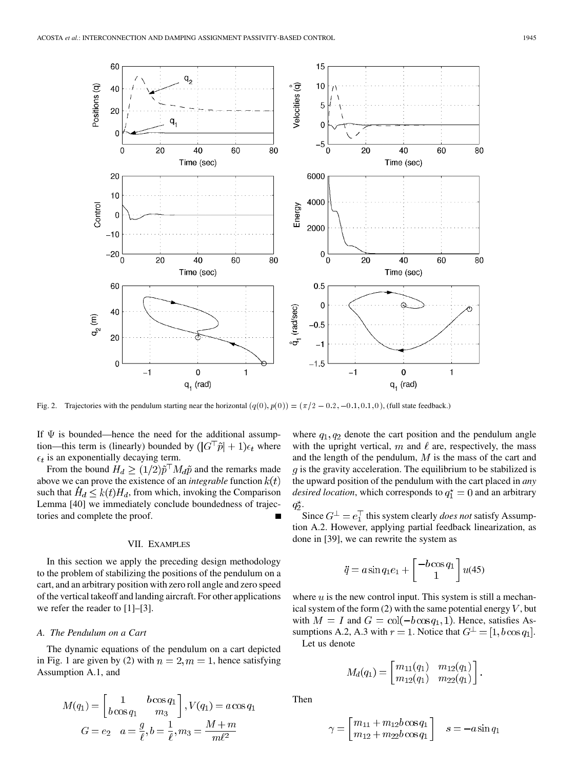

If  $\Psi$  is bounded—hence the need for the additional assumption—this term is (linearly) bounded by  $(|G^{\dagger} \tilde{p}| + 1)\epsilon_t$  where  $\epsilon_t$  is an exponentially decaying term.

From the bound  $H_d \ge (1/2)\tilde{p}^\top M_d \tilde{p}$  and the remarks made above we can prove the existence of an *integrable* function  $k(t)$ such that  $\dot{H}_d \leq k(t)H_d$ , from which, invoking the Comparison Lemma [40] we immediately conclude boundedness of trajectories and complete the proof.

# VII. EXAMPLES

In this section we apply the preceding design methodology to the problem of stabilizing the positions of the pendulum on a cart, and an arbitrary position with zero roll angle and zero speed of the vertical takeoff and landing aircraft. For other applications we refer the reader to [1]–[3].

## *A. The Pendulum on a Cart*

The dynamic equations of the pendulum on a cart depicted in Fig. 1 are given by (2) with  $n = 2, m = 1$ , hence satisfying Assumption A.1, and

$$
M(q_1) = \begin{bmatrix} 1 & b\cos q_1 \\ b\cos q_1 & m_3 \end{bmatrix}, V(q_1) = a\cos q_1
$$

$$
G = e_2 \quad a = \frac{g}{\ell}, b = \frac{1}{\ell}, m_3 = \frac{M+m}{m\ell^2}
$$

where  $q_1, q_2$  denote the cart position and the pendulum angle with the upright vertical,  $m$  and  $\ell$  are, respectively, the mass and the length of the pendulum,  $M$  is the mass of the cart and  $g$  is the gravity acceleration. The equilibrium to be stabilized is the upward position of the pendulum with the cart placed in *any desired location*, which corresponds to  $q_1^* = 0$  and an arbitrary  $q_2^{\star}$ .

Since  $G^{\perp} = e_1^{\top}$  this system clearly *does not* satisfy Assumption A.2. However, applying partial feedback linearization, as done in [39], we can rewrite the system as

$$
\ddot{q} = a \sin q_1 e_1 + \begin{bmatrix} -b \cos q_1 \\ 1 \end{bmatrix} u(45)
$$

where  $u$  is the new control input. This system is still a mechanical system of the form  $(2)$  with the same potential energy  $V$ , but with  $M = I$  and  $G = col(-b \cos q_1, 1)$ . Hence, satisfies Assumptions A.2, A.3 with  $r = 1$ . Notice that  $G^{\perp} = [1, b \cos q_1]$ . Let us denote

$$
M_d(q_1) = \begin{bmatrix} m_{11}(q_1) & m_{12}(q_1) \\ m_{12}(q_1) & m_{22}(q_1) \end{bmatrix}
$$

Then

$$
\gamma = \begin{bmatrix} m_{11} + m_{12}b\cos q_1 \\ m_{12} + m_{22}b\cos q_1 \end{bmatrix} \quad s = -a\sin q_1
$$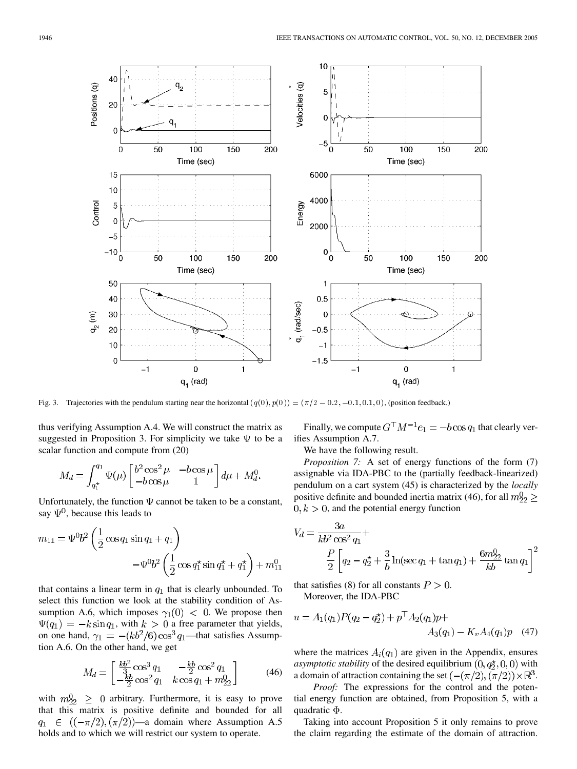

thus verifying Assumption A.4. We will construct the matrix as suggested in Proposition 3. For simplicity we take  $\Psi$  to be a scalar function and compute from (20)

$$
M_d = \int_{q_1^*}^{q_1} \Psi(\mu) \begin{bmatrix} b^2 \cos^2 \mu & -b \cos \mu \\ -b \cos \mu & 1 \end{bmatrix} d\mu + M_d^0.
$$

Unfortunately, the function  $\Psi$  cannot be taken to be a constant, say  $\Psi^0$ , because this leads to

$$
m_{11} = \Psi^0 b^2 \left(\frac{1}{2} \cos q_1 \sin q_1 + q_1\right) - \Psi^0 b^2 \left(\frac{1}{2} \cos q_1^* \sin q_1^* + q_1^*\right) + m_{11}^0
$$

that contains a linear term in  $q_1$  that is clearly unbounded. To select this function we look at the stability condition of Assumption A.6, which imposes  $\gamma_1(0)$  < 0. We propose then  $\Psi(q_1) = -k \sin q_1$ , with  $k > 0$  a free parameter that yields, on one hand,  $\gamma_1 = -(kb^2/6)\cos^3 q_1$ —that satisfies Assumption A.6. On the other hand, we get

$$
M_d = \begin{bmatrix} \frac{kb^2}{3}\cos^3 q_1 & -\frac{kb}{2}\cos^2 q_1\\ -\frac{kb}{2}\cos^2 q_1 & k\cos q_1 + m_{22}^0 \end{bmatrix}
$$
 (46)

with  $m_{22}^0 \geq 0$  arbitrary. Furthermore, it is easy to prove that this matrix is positive definite and bounded for all  $q_1 \in ((-\pi/2), (\pi/2))$ —a domain where Assumption A.5 holds and to which we will restrict our system to operate.

Finally, we compute  $G^{\top} M^{-1} e_1 = -b \cos q_1$  that clearly verifies Assumption A.7.

We have the following result.

*Proposition 7:* A set of energy functions of the form (7) assignable via IDA-PBC to the (partially feedback-linearized) pendulum on a cart system (45) is characterized by the *locally* positive definite and bounded inertia matrix (46), for all  $m_{22}^0 \geq$  $0, k > 0$ , and the potential energy function

$$
V_d = \frac{3a}{kb^2 \cos^2 q_1} +
$$
  

$$
\frac{P}{2} \left[ q_2 - q_2^* + \frac{3}{b} \ln(\sec q_1 + \tan q_1) + \frac{6m_{22}^0}{kb} \tan q_1 \right]^2
$$

that satisfies (8) for all constants  $P > 0$ . Moreover, the IDA-PBC

$$
u = A_1(q_1)P(q_2 - q_2^*) + p^{\top}A_2(q_1)p + A_3(q_1) - K_vA_4(q_1)p \quad (47)
$$

where the matrices  $A_i(q_1)$  are given in the Appendix, ensures *asymptotic stability* of the desired equilibrium  $(0, q_2^*, 0, 0)$  with a domain of attraction containing the set  $\left( -(\pi/2), (\pi/2) \right) \times \mathbb{R}^3$ .

*Proof:* The expressions for the control and the potential energy function are obtained, from Proposition 5, with a quadratic  $\Phi$ .

Taking into account Proposition 5 it only remains to prove the claim regarding the estimate of the domain of attraction.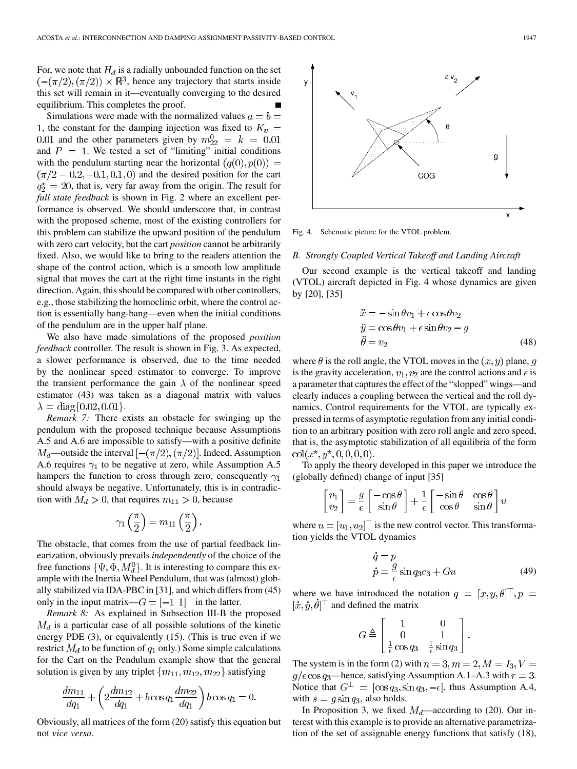For, we note that  $H_d$  is a radially unbounded function on the set  $(-(\pi/2), (\pi/2)) \times \mathbb{R}^3$ , hence any trajectory that starts inside this set will remain in it—eventually converging to the desired equilibrium. This completes the proof.

Simulations were made with the normalized values  $a = b =$ 1, the constant for the damping injection was fixed to  $K_v =$ 0.01 and the other parameters given by  $m_{22}^0 = k = 0.01$ and  $P = 1$ . We tested a set of "limiting" initial conditions with the pendulum starting near the horizontal  $(q(0), p(0)) =$  $(\pi/2 - 0.2, -0.1, 0.1, 0)$  and the desired position for the cart  $q_2^* = 20$ , that is, very far away from the origin. The result for *full state feedback* is shown in Fig. 2 where an excellent performance is observed. We should underscore that, in contrast with the proposed scheme, most of the existing controllers for this problem can stabilize the upward position of the pendulum with zero cart velocity, but the cart *position* cannot be arbitrarily fixed. Also, we would like to bring to the readers attention the shape of the control action, which is a smooth low amplitude signal that moves the cart at the right time instants in the right direction. Again, this should be compared with other controllers, e.g., those stabilizing the homoclinic orbit, where the control action is essentially bang-bang—even when the initial conditions of the pendulum are in the upper half plane.

We also have made simulations of the proposed *position feedback* controller. The result is shown in Fig. 3. As expected, a slower performance is observed, due to the time needed by the nonlinear speed estimator to converge. To improve the transient performance the gain  $\lambda$  of the nonlinear speed estimator (43) was taken as a diagonal matrix with values  $\lambda = \text{diag}\{0.02, 0.01\}.$ 

*Remark 7:* There exists an obstacle for swinging up the pendulum with the proposed technique because Assumptions A.5 and A.6 are impossible to satisfy—with a positive definite  $M_d$ —outside the interval  $[-(\pi/2), (\pi/2)]$ . Indeed, Assumption A.6 requires  $\gamma_1$  to be negative at zero, while Assumption A.5 hampers the function to cross through zero, consequently  $\gamma_1$ should always be negative. Unfortunately, this is in contradiction with  $M_d > 0$ , that requires  $m_{11} > 0$ , because

$$
\gamma_1\left(\frac{\pi}{2}\right) = m_{11}\left(\frac{\pi}{2}\right).
$$

The obstacle, that comes from the use of partial feedback linearization, obviously prevails *independently* of the choice of the free functions  $\{\Psi, \Phi, M_d^0\}$ . It is interesting to compare this example with the Inertia Wheel Pendulum, that was (almost) globally stabilized via IDA-PBC in [31], and which differs from (45) only in the input matrix— $G = [-1 \ 1]^\top$  in the latter.

*Remark 8:* As explained in Subsection III-B the proposed  $M_d$  is a particular case of all possible solutions of the kinetic energy PDE (3), or equivalently (15). (This is true even if we restrict  $M_d$  to be function of  $q_1$  only.) Some simple calculations for the Cart on the Pendulum example show that the general solution is given by any triplet  $\{m_{11}, m_{12}, m_{22}\}$  satisfying

$$
\frac{dm_{11}}{dq_1} + \left(2\frac{dm_{12}}{dq_1} + b\cos q_1 \frac{dm_{22}}{dq_1}\right) b\cos q_1 = 0.
$$

Obviously, all matrices of the form (20) satisfy this equation but not *vice versa*.



Fig. 4. Schematic picture for the VTOL problem.

## *B. Strongly Coupled Vertical Takeoff and Landing Aircraft*

Our second example is the vertical takeoff and landing (VTOL) aircraft depicted in Fig. 4 whose dynamics are given by [20], [35]

$$
\ddot{x} = -\sin \theta v_1 + \epsilon \cos \theta v_2 \n\ddot{y} = \cos \theta v_1 + \epsilon \sin \theta v_2 - g \n\ddot{\theta} = v_2
$$
\n(48)

where  $\theta$  is the roll angle, the VTOL moves in the  $(x, y)$  plane, g is the gravity acceleration,  $v_1, v_2$  are the control actions and  $\epsilon$  is a parameter that captures the effect of the "slopped" wings—and clearly induces a coupling between the vertical and the roll dynamics. Control requirements for the VTOL are typically expressed in terms of asymptotic regulation from any initial condition to an arbitrary position with zero roll angle and zero speed, that is, the asymptotic stabilization of all equilibria of the form  $col(x^*, y^*, 0, 0, 0, 0).$ 

To apply the theory developed in this paper we introduce the (globally defined) change of input [35]

$$
\begin{bmatrix} v_1 \\ v_2 \end{bmatrix} = \frac{g}{\epsilon} \begin{bmatrix} -\cos\theta \\ \sin\theta \end{bmatrix} + \frac{1}{\epsilon} \begin{bmatrix} -\sin\theta & \cos\theta \\ \cos\theta & \sin\theta \end{bmatrix} u
$$

where  $u = [u_1, u_2]^\top$  is the new control vector. This transformation yields the VTOL dynamics

$$
\dot{q} = p
$$
  
\n
$$
\dot{p} = \frac{g}{\epsilon} \sin q_3 e_3 + Gu
$$
\n(49)

where we have introduced the notation  $q = [x, y, \theta]^\top, p =$  $[\dot{x}, \dot{y}, \dot{\theta}]^{\top}$  and defined the matrix

$$
G \triangleq \begin{bmatrix} 1 & 0 \\ 0 & 1 \\ \frac{1}{\epsilon} \cos q_3 & \frac{1}{\epsilon} \sin q_3 \end{bmatrix}.
$$

The system is in the form (2) with  $n = 3, m = 2, M = I_3, V =$  $g/\epsilon \cos q_3$ —hence, satisfying Assumption A.1–A.3 with  $r = 3$ . Notice that  $G^{\perp} = [\cos q_3, \sin q_3, -\epsilon]$ , thus Assumption A.4, with  $s = g \sin q_3$ , also holds.

In Proposition 3, we fixed  $M_d$ —according to (20). Our interest with this example is to provide an alternative parametrization of the set of assignable energy functions that satisfy (18),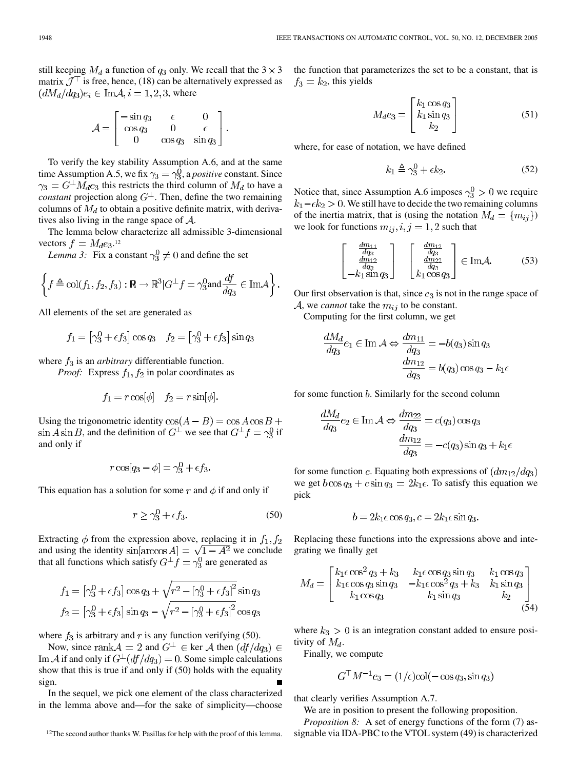still keeping  $M_d$  a function of  $q_3$  only. We recall that the  $3 \times 3$ matrix  $\mathcal{J}^{\top}$  is free, hence, (18) can be alternatively expressed as  $(dM_d/dq_3)e_i \in \text{Im} \mathcal{A}, i = 1, 2, 3$ , where

$$
\mathcal{A} = \begin{bmatrix} -\sin q_3 & \epsilon & 0 \\ \cos q_3 & 0 & \epsilon \\ 0 & \cos q_3 & \sin q_3 \end{bmatrix}.
$$

To verify the key stability Assumption A.6, and at the same time Assumption A.5, we fix  $\gamma_3 = \gamma_3^0$ , a *positive* constant. Since  $\gamma_3 = G^{\perp} M_d e_3$  this restricts the third column of  $M_d$  to have a *constant* projection along  $G^{\perp}$ . Then, define the two remaining columns of  $M_d$  to obtain a positive definite matrix, with derivatives also living in the range space of  $A$ .

The lemma below characterize all admissible 3-dimensional vectors  $f = M_d e_3$ .<sup>12</sup>

*Lemma 3:* Fix a constant  $\gamma_3^0 \neq 0$  and define the set

$$
\left\{f \triangleq \text{col}(f_1, f_2, f_3) : \mathbb{R} \to \mathbb{R}^3 | G^{\perp} f = \gamma_3^0 \text{ and } \frac{df}{dq_3} \in \text{Im} \mathcal{A}\right\}.
$$

All elements of the set are generated as

$$
f_1 = \left[\gamma_3^0 + \epsilon f_3\right] \cos q_3 \quad f_2 = \left[\gamma_3^0 + \epsilon f_3\right] \sin q_3
$$

where  $f_3$  is an *arbitrary* differentiable function.

*Proof:* Express  $f_1, f_2$  in polar coordinates as

$$
f_1 = r \cos[\phi] \quad f_2 = r \sin[\phi].
$$

Using the trigonometric identity  $cos(A - B) = cos A cos B +$  $\sin A \sin B$ , and the definition of  $G^{\perp}$  we see that  $G^{\perp} f = \gamma_3^0$  if and only if

$$
r\cos[q_3-\phi]=\gamma_3^0+\epsilon f_3.
$$

This equation has a solution for some r and  $\phi$  if and only if

$$
r \ge \gamma_3^0 + \epsilon f_3. \tag{50}
$$

Extracting  $\phi$  from the expression above, replacing it in  $f_1, f_2$ and using the identity  $\sin[\arccos A] = \sqrt{1 - A^2}$  we conclude that all functions which satisfy  $G^{\perp} f = \gamma_3^0$  are generated as

$$
f_1 = [\gamma_3^0 + \epsilon f_3] \cos q_3 + \sqrt{r^2 - [\gamma_3^0 + \epsilon f_3]^2} \sin q_3
$$
  

$$
f_2 = [\gamma_3^0 + \epsilon f_3] \sin q_3 - \sqrt{r^2 - [\gamma_3^0 + \epsilon f_3]^2} \cos q_3
$$

where  $f_3$  is arbitrary and r is any function verifying (50).

Now, since rank  $A = 2$  and  $G^{\perp} \in \text{ker } A$  then  $(df/dq_3) \in$ Im A if and only if  $G^{\perp}(df/dq_3) = 0$ . Some simple calculations show that this is true if and only if (50) holds with the equality sign.

In the sequel, we pick one element of the class characterized in the lemma above and—for the sake of simplicity—choose the function that parameterizes the set to be a constant, that is  $f_3 = k_2$ , this yields

$$
M_d e_3 = \begin{bmatrix} k_1 \cos q_3 \\ k_1 \sin q_3 \\ k_2 \end{bmatrix}
$$
 (51)

where, for ease of notation, we have defined

$$
k_1 \triangleq \gamma_3^0 + \epsilon k_2. \tag{52}
$$

Notice that, since Assumption A.6 imposes  $\gamma_3^0 > 0$  we require  $k_1 - \epsilon k_2 > 0$ . We still have to decide the two remaining columns of the inertia matrix, that is (using the notation  $M_d = \{m_{ij}\}\$ ) we look for functions  $m_{ij}, i, j = 1, 2$  such that

$$
\begin{bmatrix}\n\frac{dm_{11}}{dg_3} \\
\frac{dm_{12}}{dg_3} \\
-k_1 \sin q_3\n\end{bmatrix}\n\begin{bmatrix}\n\frac{dm_{12}}{dg_3} \\
\frac{dm_{22}}{dg_3} \\
k_1 \cos q_3\n\end{bmatrix} \in \text{Im} \mathcal{A}.
$$
\n(53)

Our first observation is that, since  $e_3$  is not in the range space of  $A$ , we *cannot* take the  $m_{ij}$  to be constant.

Computing for the first column, we get

$$
\frac{dM_d}{dq_3}e_1 \in \text{Im } A \Leftrightarrow \frac{dm_{11}}{dq_3} = -b(q_3)\sin q_3
$$

$$
\frac{dm_{12}}{dq_3} = b(q_3)\cos q_3 - k_1e
$$

for some function  $b$ . Similarly for the second column

$$
\frac{dM_d}{dq_3}e_2 \in \text{Im }\mathcal{A} \Leftrightarrow \frac{dm_{22}}{dq_3} = c(q_3)\cos q_3
$$

$$
\frac{dm_{12}}{dq_3} = -c(q_3)\sin q_3 + k_1\epsilon
$$

for some function c. Equating both expressions of  $\left(d\frac{m_{12}}{dq_3}\right)$ we get  $b\cos q_3 + c\sin q_3 = 2k_1\epsilon$ . To satisfy this equation we pick

$$
b = 2k_1 \epsilon \cos q_3, c = 2k_1 \epsilon \sin q_3.
$$

Replacing these functions into the expressions above and integrating we finally get

$$
M_d = \begin{bmatrix} k_1 \epsilon \cos^2 q_3 + k_3 & k_1 \epsilon \cos q_3 \sin q_3 & k_1 \cos q_3 \\ k_1 \epsilon \cos q_3 \sin q_3 & -k_1 \epsilon \cos^2 q_3 + k_3 & k_1 \sin q_3 \\ k_1 \cos q_3 & k_1 \sin q_3 & k_2 \end{bmatrix}
$$
(54)

where  $k_3 > 0$  is an integration constant added to ensure positivity of  $M_d$ .

Finally, we compute

$$
G^{\top}M^{-1}e_3 = (1/\epsilon)\text{col}(-\cos q_3, \sin q_3)
$$

that clearly verifies Assumption A.7.

We are in position to present the following proposition.

*Proposition 8:* A set of energy functions of the form (7) assignable via IDA-PBC to the VTOL system (49) is characterized

<sup>&</sup>lt;sup>12</sup>The second author thanks W. Pasillas for help with the proof of this lemma.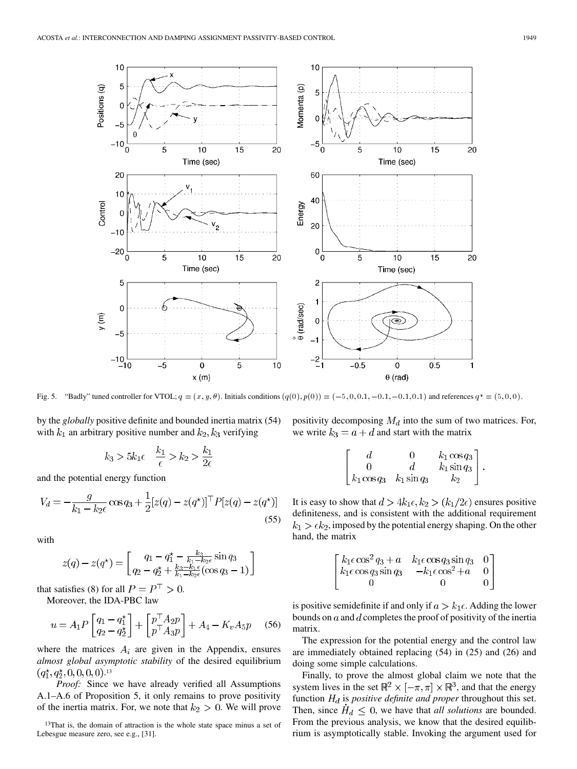

by the *globally* positive definite and bounded inertia matrix (54) with  $k_1$  an arbitrary positive number and  $k_2, k_3$  verifying

$$
k_3 > 5k_1\epsilon \quad \frac{k_1}{\epsilon} > k_2 > \frac{k_1}{2\epsilon}
$$

and the potential energy function

$$
V_d = -\frac{g}{k_1 - k_2 \epsilon} \cos q_3 + \frac{1}{2} [z(q) - z(q^*)]^\top P [z(q) - z(q^*)]
$$
\n(55)

with

$$
z(q) - z(q^*) = \begin{bmatrix} q_1 - q_1^* - \frac{k_3}{k_1 - k_2 \epsilon} \sin q_3 \\ q_2 - q_2^* + \frac{k_3 - k_1 \epsilon}{k_1 - k_2 \epsilon} (\cos q_3 - 1) \end{bmatrix}
$$

that satisfies (8) for all  $P = P^{\top} > 0$ .

Moreover, the IDA-PBC law

$$
u = A_1 P \begin{bmatrix} q_1 - q_1^* \\ q_2 - q_2^* \end{bmatrix} + \begin{bmatrix} p^\top A_2 p \\ p^\top A_3 p \end{bmatrix} + A_4 - K_v A_5 p \tag{56}
$$

where the matrices  $A_i$  are given in the Appendix, ensures *almost global asymptotic stability* of the desired equilibrium . 13

*Proof:* Since we have already verified all Assumptions A.1–A.6 of Proposition 5, it only remains to prove positivity of the inertia matrix. For, we note that  $k_2 > 0$ . We will prove positivity decomposing  $M_d$  into the sum of two matrices. For, we write  $k_3 = a + d$  and start with the matrix

$$
\begin{bmatrix} d & 0 & k_1 \cos q_3 \\ 0 & d & k_1 \sin q_3 \\ k_1 \cos q_3 & k_1 \sin q_3 & k_2 \end{bmatrix}.
$$

It is easy to show that  $d > 4k_1 \epsilon, k_2 > (k_1/2\epsilon)$  ensures positive definiteness, and is consistent with the additional requirement  $k_1 > \epsilon k_2$ , imposed by the potential energy shaping. On the other hand, the matrix

$$
\begin{bmatrix} k_1 \epsilon \cos^2 q_3 + a & k_1 \epsilon \cos q_3 \sin q_3 & 0 \\ k_1 \epsilon \cos q_3 \sin q_3 & -k_1 \epsilon \cos^2 q_3 & 0 \\ 0 & 0 & 0 \end{bmatrix}
$$

is positive semidefinite if and only if  $a > k_1 \epsilon$ . Adding the lower bounds on  $a$  and  $d$  completes the proof of positivity of the inertia matrix.

The expression for the potential energy and the control law are immediately obtained replacing (54) in (25) and (26) and doing some simple calculations.

Finally, to prove the almost global claim we note that the system lives in the set  $\mathbb{R}^2 \times [-\pi, \pi] \times \mathbb{R}^3$ , and that the energy function  $H_d$  is *positive definite and proper* throughout this set. Then, since  $\ddot{H}_d \leq 0$ , we have that *all solutions* are bounded. From the previous analysis, we know that the desired equilibrium is asymptotically stable. Invoking the argument used for

<sup>&</sup>lt;sup>13</sup>That is, the domain of attraction is the whole state space minus a set of Lebesgue measure zero, see e.g., [31].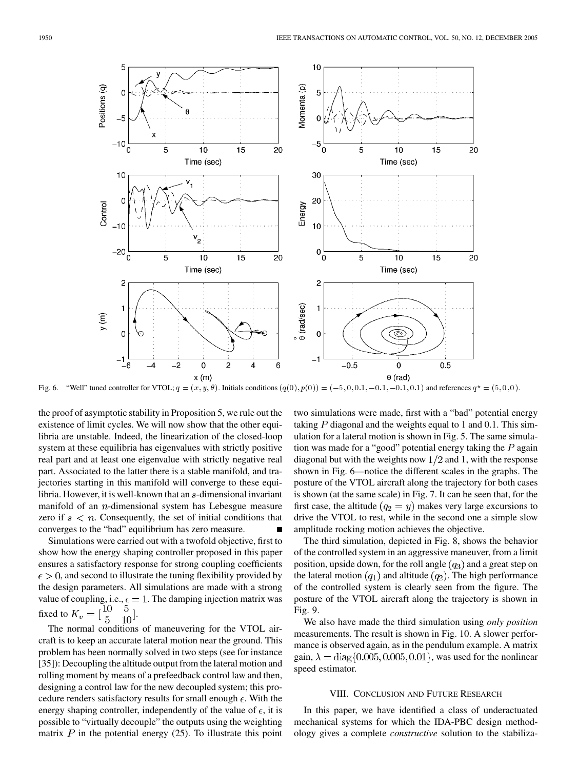

the proof of asymptotic stability in Proposition 5, we rule out the existence of limit cycles. We will now show that the other equilibria are unstable. Indeed, the linearization of the closed-loop system at these equilibria has eigenvalues with strictly positive real part and at least one eigenvalue with strictly negative real part. Associated to the latter there is a stable manifold, and trajectories starting in this manifold will converge to these equilibria. However, it is well-known that an  $s$ -dimensional invariant manifold of an  $n$ -dimensional system has Lebesgue measure zero if  $s < n$ . Consequently, the set of initial conditions that converges to the "bad" equilibrium has zero measure.

Simulations were carried out with a twofold objective, first to show how the energy shaping controller proposed in this paper ensures a satisfactory response for strong coupling coefficients  $\epsilon > 0$ , and second to illustrate the tuning flexibility provided by the design parameters. All simulations are made with a strong value of coupling, i.e.,  $\epsilon = 1$ . The damping injection matrix was fixed to  $K_v = \begin{bmatrix} 10 & 5 \\ 5 & 10 \end{bmatrix}$ .

The normal conditions of maneuvering for the VTOL aircraft is to keep an accurate lateral motion near the ground. This problem has been normally solved in two steps (see for instance [35]): Decoupling the altitude output from the lateral motion and rolling moment by means of a prefeedback control law and then, designing a control law for the new decoupled system; this procedure renders satisfactory results for small enough  $\epsilon$ . With the energy shaping controller, independently of the value of  $\epsilon$ , it is possible to "virtually decouple" the outputs using the weighting matrix  $P$  in the potential energy (25). To illustrate this point two simulations were made, first with a "bad" potential energy taking P diagonal and the weights equal to 1 and 0.1. This simulation for a lateral motion is shown in Fig. 5. The same simulation was made for a "good" potential energy taking the  $P$  again diagonal but with the weights now  $1/2$  and 1, with the response shown in Fig. 6—notice the different scales in the graphs. The posture of the VTOL aircraft along the trajectory for both cases is shown (at the same scale) in Fig. 7. It can be seen that, for the first case, the altitude  $(q_2 = y)$  makes very large excursions to drive the VTOL to rest, while in the second one a simple slow amplitude rocking motion achieves the objective.

The third simulation, depicted in Fig. 8, shows the behavior of the controlled system in an aggressive maneuver, from a limit position, upside down, for the roll angle  $(q_3)$  and a great step on the lateral motion  $(q_1)$  and altitude  $(q_2)$ . The high performance of the controlled system is clearly seen from the figure. The posture of the VTOL aircraft along the trajectory is shown in Fig. 9.

We also have made the third simulation using *only position* measurements. The result is shown in Fig. 10. A slower performance is observed again, as in the pendulum example. A matrix gain,  $\lambda = \text{diag}\{0.005, 0.005, 0.01\}$ , was used for the nonlinear speed estimator.

## VIII. CONCLUSION AND FUTURE RESEARCH

In this paper, we have identified a class of underactuated mechanical systems for which the IDA-PBC design methodology gives a complete *constructive* solution to the stabiliza-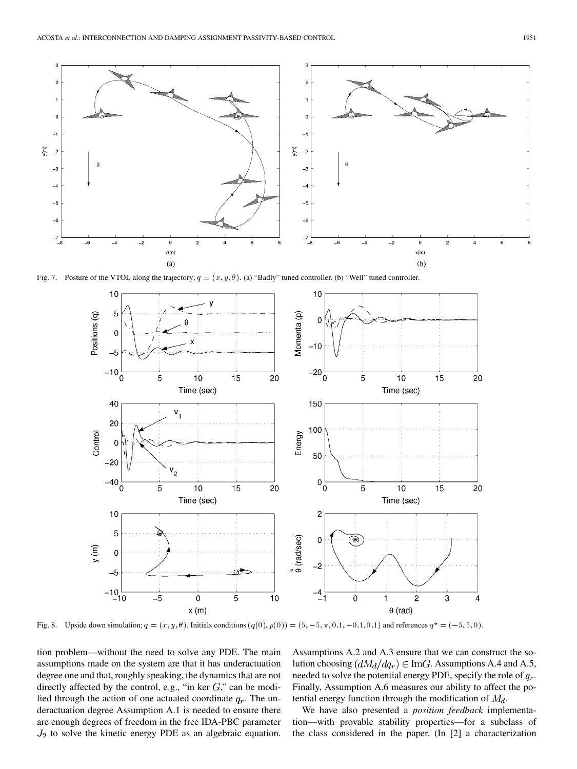

Fig. 7. Posture of the VTOL along the trajectory;  $q = (x, y, \theta)$ . (a) "Badly" tuned controller. (b) "Well" tuned controller.



tion problem—without the need to solve any PDE. The main assumptions made on the system are that it has underactuation degree one and that, roughly speaking, the dynamics that are not directly affected by the control, e.g., "in ker  $G$ ," can be modified through the action of one actuated coordinate  $q_r$ . The underactuation degree Assumption A.1 is needed to ensure there are enough degrees of freedom in the free IDA-PBC parameter  $J_2$  to solve the kinetic energy PDE as an algebraic equation. Assumptions A.2 and A.3 ensure that we can construct the solution choosing  $(dM_d/dq_r) \in \text{Im}G$ . Assumptions A.4 and A.5, needed to solve the potential energy PDE, specify the role of  $q_r$ . Finally, Assumption A.6 measures our ability to affect the potential energy function through the modification of  $M_d$ .

We have also presented a *position feedback* implementation—with provable stability properties—for a subclass of the class considered in the paper. (In [2] a characterization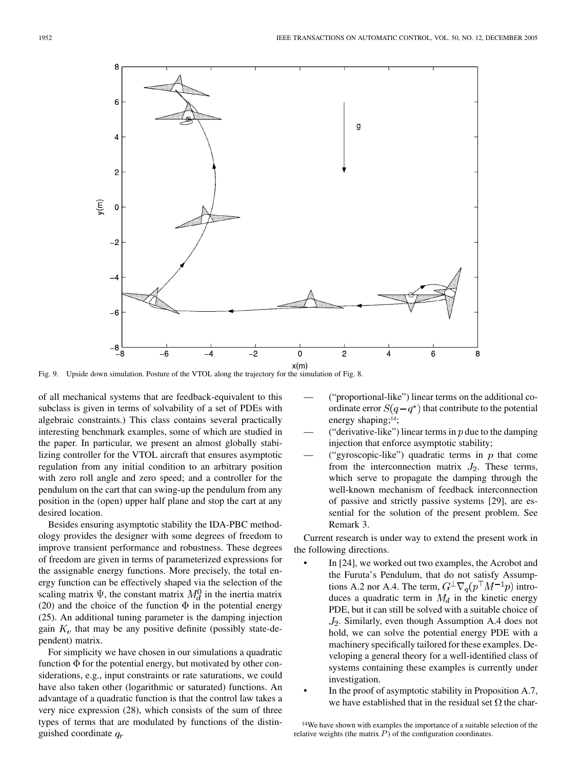

Fig. 9. Upside down simulation. Posture of the VTOL along the trajectory for the simulation of Fig. 8.

of all mechanical systems that are feedback-equivalent to this subclass is given in terms of solvability of a set of PDEs with algebraic constraints.) This class contains several practically interesting benchmark examples, some of which are studied in the paper. In particular, we present an almost globally stabilizing controller for the VTOL aircraft that ensures asymptotic regulation from any initial condition to an arbitrary position with zero roll angle and zero speed; and a controller for the pendulum on the cart that can swing-up the pendulum from any position in the (open) upper half plane and stop the cart at any desired location.

Besides ensuring asymptotic stability the IDA-PBC methodology provides the designer with some degrees of freedom to improve transient performance and robustness. These degrees of freedom are given in terms of parameterized expressions for the assignable energy functions. More precisely, the total energy function can be effectively shaped via the selection of the scaling matrix  $\Psi$ , the constant matrix  $M_d^0$  in the inertia matrix (20) and the choice of the function  $\Phi$  in the potential energy (25). An additional tuning parameter is the damping injection gain  $K_v$  that may be any positive definite (possibly state-dependent) matrix.

For simplicity we have chosen in our simulations a quadratic function  $\Phi$  for the potential energy, but motivated by other considerations, e.g., input constraints or rate saturations, we could have also taken other (logarithmic or saturated) functions. An advantage of a quadratic function is that the control law takes a very nice expression (28), which consists of the sum of three types of terms that are modulated by functions of the distinguished coordinate  $q_r$ 

- ("proportional-like") linear terms on the additional coordinate error  $S(q - q^*)$  that contribute to the potential energy shaping;14;
- ("derivative-like") linear terms in  $p$  due to the damping injection that enforce asymptotic stability;
- ("gyroscopic-like") quadratic terms in  $p$  that come from the interconnection matrix  $J_2$ . These terms, which serve to propagate the damping through the well-known mechanism of feedback interconnection of passive and strictly passive systems [29], are essential for the solution of the present problem. See Remark 3.

Current research is under way to extend the present work in the following directions.

- In [24], we worked out two examples, the Acrobot and the Furuta's Pendulum, that do not satisfy Assumptions A.2 nor A.4. The term,  $G^{\perp}\nabla_q(p^{\top}M^{-1}p)$  introduces a quadratic term in  $M_d$  in the kinetic energy PDE, but it can still be solved with a suitable choice of  $J_2$ . Similarly, even though Assumption A.4 does not hold, we can solve the potential energy PDE with a machinery specifically tailored for these examples. Developing a general theory for a well-identified class of systems containing these examples is currently under investigation.
- In the proof of asymptotic stability in Proposition A.7, we have established that in the residual set  $\Omega$  the char-

<sup>14</sup>We have shown with examples the importance of a suitable selection of the relative weights (the matrix  $P$ ) of the configuration coordinates.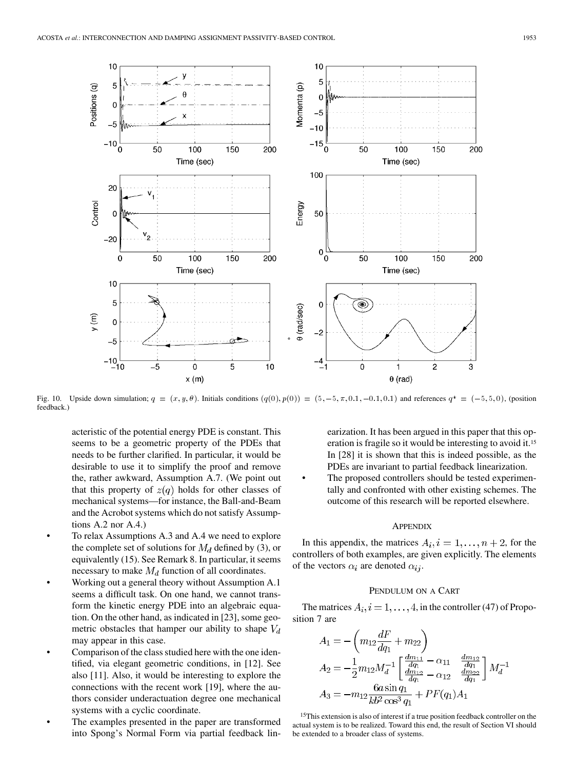

feedback.)

acteristic of the potential energy PDE is constant. This seems to be a geometric property of the PDEs that needs to be further clarified. In particular, it would be desirable to use it to simplify the proof and remove the, rather awkward, Assumption A.7. (We point out that this property of  $z(q)$  holds for other classes of mechanical systems—for instance, the Ball-and-Beam and the Acrobot systems which do not satisfy Assumptions A.2 nor A.4.)

- To relax Assumptions A.3 and A.4 we need to explore the complete set of solutions for  $M_d$  defined by (3), or equivalently (15). See Remark 8. In particular, it seems necessary to make  $M_d$  function of all coordinates.
- Working out a general theory without Assumption A.1 seems a difficult task. On one hand, we cannot transform the kinetic energy PDE into an algebraic equation. On the other hand, as indicated in [23], some geometric obstacles that hamper our ability to shape  $V_d$ may appear in this case.
- Comparison of the class studied here with the one identified, via elegant geometric conditions, in [12]. See also [11]. Also, it would be interesting to explore the connections with the recent work [19], where the authors consider underactuation degree one mechanical systems with a cyclic coordinate.
- The examples presented in the paper are transformed into Spong's Normal Form via partial feedback lin-

earization. It has been argued in this paper that this operation is fragile so it would be interesting to avoid it.<sup>15</sup> In [28] it is shown that this is indeed possible, as the PDEs are invariant to partial feedback linearization.

The proposed controllers should be tested experimentally and confronted with other existing schemes. The outcome of this research will be reported elsewhere.

#### **APPENDIX**

In this appendix, the matrices  $A_i, i = 1, \ldots, n + 2$ , for the controllers of both examples, are given explicitly. The elements of the vectors  $\alpha_i$  are denoted  $\alpha_{ij}$ .

## PENDULUM ON A CART

The matrices  $A_i$ ,  $i = 1, ..., 4$ , in the controller (47) of Proposition 7 are

$$
A_1 = -\left(m_{12}\frac{dF}{dq_1} + m_{22}\right)
$$
  
\n
$$
A_2 = -\frac{1}{2}m_{12}M_d^{-1}\left[\frac{\frac{dm_{11}}{dq_1}}{\frac{dm_{12}}{dq_1}} - \frac{\alpha_{11}}{\alpha_{12}}\frac{\frac{dm_{12}}{dq_1}}{\frac{dm_{22}}{dq_1}}\right]M_d^{-1}
$$
  
\n
$$
A_3 = -m_{12}\frac{6a\sin q_1}{kb^2\cos^3 q_1} + PF(q_1)A_1
$$

<sup>15</sup>This extension is also of interest if a true position feedback controller on the actual system is to be realized. Toward this end, the result of Section VI should be extended to a broader class of systems.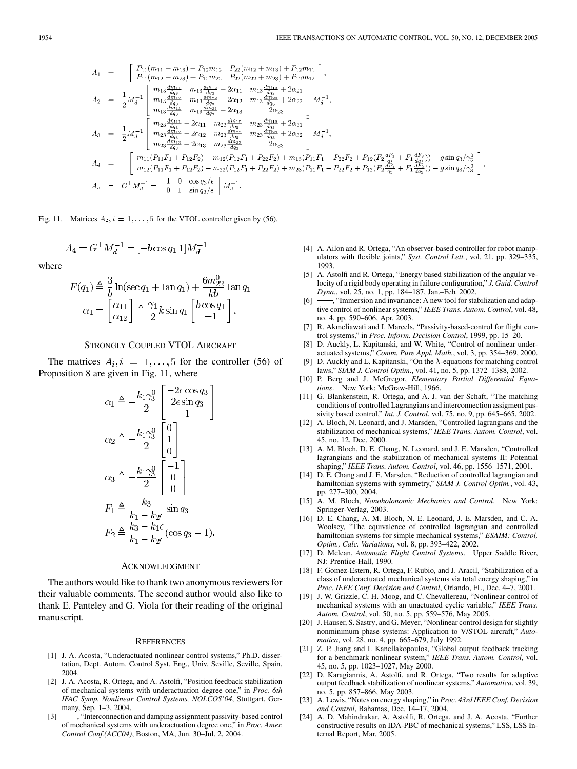$$
A_1 = -\left[\begin{array}{c} P_{11}(m_{11} + m_{13}) + P_{12}m_{12} & P_{22}(m_{12} + m_{13}) + P_{12}m_{11} \\ P_{11}(m_{12} + m_{23}) + P_{12}m_{22} & P_{22}(m_{22} + m_{23}) + P_{12}m_{12} \end{array}\right],
$$
  
\n
$$
A_2 = \frac{1}{2}M_a^{-1} \left[\begin{array}{c} m_{13}\frac{dm_{12}}{dq_3} & m_{13}\frac{dm_{12}}{dq_3} + 2\alpha_{11} & m_{13}\frac{dm_{13}}{dq_3} + 2\alpha_{21} \\ m_{13}\frac{dm_{12}}{dq_3} & m_{13}\frac{dm_{22}}{dq_3} + 2\alpha_{12} & m_{13}\frac{dm_{23}}{dq_3} + 2\alpha_{22} \\ m_{13}\frac{dm_{13}}{dq_3} & m_{13}\frac{dm_{23}}{dq_3} + 2\alpha_{13} & 2\alpha_{23} \end{array}\right] M_a^{-1},
$$
  
\n
$$
A_3 = \frac{1}{2}M_a^{-1} \left[\begin{array}{c} m_{23}\frac{dm_{12}}{dq_3} - 2\alpha_{11} & m_{23}\frac{dm_{12}}{dq_3} & m_{23}\frac{dm_{13}}{dq_3} + 2\alpha_{31} \\ m_{23}\frac{dm_{23}}{dq_3} - 2\alpha_{12} & m_{23}\frac{dm_{23}}{dq_3} & m_{23}\frac{dm_{23}}{dq_3} + 2\alpha_{32} \\ m_{23}\frac{dm_{23}}{dq_3} - 2\alpha_{13} & m_{23}\frac{dm_{23}}{dq_3} & 2\alpha_{33} \end{array}\right] M_a^{-1},
$$
  
\n
$$
A_4 = -\left[\begin{array}{c} m_{11}(P_{11}F_1 + P_{12}F_2) + m_{12}(P_{12}F_1 + P_{22}F_2) + m_{13}(P_{11}F_1 + P_{22}F_2 + P_{12}(F_2\frac{dF_1}{q_3} + F_1\frac{dF_2}{dq_3}) - g
$$

Fig. 11. Matrices  $A_i$ ,  $i = 1, ..., 5$  for the VTOL controller given by (56).

$$
A_4 = G^{\top} M_d^{-1} = [-b \cos q_1 \, 1] M_d^{-1}
$$

where

$$
F(q_1) \triangleq \frac{3}{b} \ln(\sec q_1 + \tan q_1) + \frac{6m_{22}^0}{kb} \tan q_1
$$

$$
\alpha_1 = \begin{bmatrix} \alpha_{11} \\ \alpha_{12} \end{bmatrix} \triangleq \frac{\gamma_1}{2} k \sin q_1 \begin{bmatrix} b \cos q_1 \\ -1 \end{bmatrix}.
$$

# STRONGLY COUPLED VTOL AIRCRAFT

The matrices  $A_i, i = 1, \ldots, 5$  for the controller (56) of Proposition 8 are given in Fig. 11, where

$$
\alpha_1 \triangleq -\frac{k_1 \gamma_3^0}{2} \begin{bmatrix} -2\epsilon \cos q_3 \\ 2\epsilon \sin q_3 \\ 1 \end{bmatrix}
$$
  
\n
$$
\alpha_2 \triangleq -\frac{k_1 \gamma_3^0}{2} \begin{bmatrix} 0 \\ 1 \\ 0 \end{bmatrix}
$$
  
\n
$$
\alpha_3 \triangleq -\frac{k_1 \gamma_3^0}{2} \begin{bmatrix} -1 \\ 0 \\ 0 \end{bmatrix}
$$
  
\n
$$
F_1 \triangleq \frac{k_3}{k_1 - k_2 \epsilon} \sin q_3
$$
  
\n
$$
F_2 \triangleq \frac{k_3 - k_1 \epsilon}{k_1 - k_2 \epsilon} (\cos q_3 - 1).
$$

#### ACKNOWLEDGMENT

The authors would like to thank two anonymous reviewers for their valuable comments. The second author would also like to thank E. Panteley and G. Viola for their reading of the original manuscript.

#### **REFERENCES**

- [1] J. A. Acosta, "Underactuated nonlinear control systems," Ph.D. dissertation, Dept. Autom. Control Syst. Eng., Univ. Seville, Seville, Spain, 2004.
- [2] J. A. Acosta, R. Ortega, and A. Astolfi, "Position feedback stabilization of mechanical systems with underactuation degree one," in *Proc. 6th IFAC Symp. Nonlinear Control Systems, NOLCOS'04*, Stuttgart, Germany, Sep. 1–3, 2004.
- [3]  $\frac{1}{2}$  (11) [3]  $\frac{1}{2}$  interconnection and damping assignment passivity-based control of mechanical systems with underactuation degree one," in *Proc. Amer. Control Conf.(ACC04)*, Boston, MA, Jun. 30–Jul. 2, 2004.
- [4] A. Ailon and R. Ortega, "An observer-based controller for robot manipulators with flexible joints," *Syst. Control Lett.*, vol. 21, pp. 329–335, 1993.
- [5] A. Astolfi and R. Ortega, "Energy based stabilization of the angular velocity of a rigid body operating in failure configuration," *J. Guid. Control Dyna.*, vol. 25, no. 1, pp. 184–187, Jan.–Feb. 2002.
- $[6]$  , "Immersion and invariance: A new tool for stabilization and adaptive control of nonlinear systems," *IEEE Trans. Autom. Control*, vol. 48, no. 4, pp. 590–606, Apr. 2003.
- [7] R. Akmeliawati and I. Mareels, "Passivity-based-control for flight control systems," in *Proc. Inform. Decision Control*, 1999, pp. 15–20.
- [8] D. Auckly, L. Kapitanski, and W. White, "Control of nonlinear underactuated systems," *Comm. Pure Appl. Math.*, vol. 3, pp. 354–369, 2000.
- [9] D. Auckly and L. Kapitanski, "On the  $\lambda$ -equations for matching control laws," *SIAM J. Control Optim.*, vol. 41, no. 5, pp. 1372–1388, 2002.
- [10] P. Berg and J. McGregor, *Elementary Partial Differential Equations*. New York: McGraw-Hill, 1966.
- [11] G. Blankenstein, R. Ortega, and A. J. van der Schaft, "The matching conditions of controlled Lagrangians and interconnection assigment passivity based control," *Int. J. Control*, vol. 75, no. 9, pp. 645–665, 2002.
- [12] A. Bloch, N. Leonard, and J. Marsden, "Controlled lagrangians and the stabilization of mechanical systems," *IEEE Trans. Autom. Control*, vol. 45, no. 12, Dec. 2000.
- [13] A. M. Bloch, D. E. Chang, N. Leonard, and J. E. Marsden, "Controlled lagrangians and the stabilization of mechanical systems II: Potential shaping," *IEEE Trans. Autom. Control*, vol. 46, pp. 1556–1571, 2001.
- [14] D. E. Chang and J. E. Marsden, "Reduction of controlled lagrangian and hamiltonian systems with symmetry," *SIAM J. Control Optim.*, vol. 43, pp. 277–300, 2004.
- [15] A. M. Bloch, *Nonoholonomic Mechanics and Control*. New York: Springer-Verlag, 2003.
- [16] D. E. Chang, A. M. Bloch, N. E. Leonard, J. E. Marsden, and C. A. Woolsey, "The equivalence of controlled lagrangian and controlled hamiltonian systems for simple mechanical systems," *ESAIM: Control, Optim., Calc. Variations*, vol. 8, pp. 393–422, 2002.
- [17] D. Mclean, *Automatic Flight Control Systems*. Upper Saddle River, NJ: Prentice-Hall, 1990.
- [18] F. Gomez-Estern, R. Ortega, F. Rubio, and J. Aracil, "Stabilization of a class of underactuated mechanical systems via total energy shaping," in *Proc. IEEE Conf. Decision and Control*, Orlando, FL, Dec. 4–7, 2001.
- [19] J. W. Grizzle, C. H. Moog, and C. Chevallereau, "Nonlinear control of mechanical systems with an unactuated cyclic variable," *IEEE Trans. Autom. Control*, vol. 50, no. 5, pp. 559–576, May 2005.
- [20] J. Hauser, S. Sastry, and G. Meyer, "Nonlinear control design for slightly nonminimum phase systems: Application to V/STOL aircraft," *Automatica*, vol. 28, no. 4, pp. 665–679, July 1992.
- [21] Z. P. Jiang and I. Kanellakopoulos, "Global output feedback tracking for a benchmark nonlinear system," *IEEE Trans. Autom. Control*, vol. 45, no. 5, pp. 1023–1027, May 2000.
- [22] D. Karagiannis, A. Astolfi, and R. Ortega, "Two results for adaptive output feedback stabilization of nonlinear systems," *Automatica*, vol. 39, no. 5, pp. 857–866, May 2003.
- [23] A. Lewis, "Notes on energy shaping," in *Proc. 43rd IEEE Conf. Decision and Control*, Bahamas, Dec. 14–17, 2004.
- [24] A. D. Mahindrakar, A. Astolfi, R. Ortega, and J. A. Acosta, "Further constructive results on IDA-PBC of mechanical systems," LSS, LSS Internal Report, Mar. 2005.